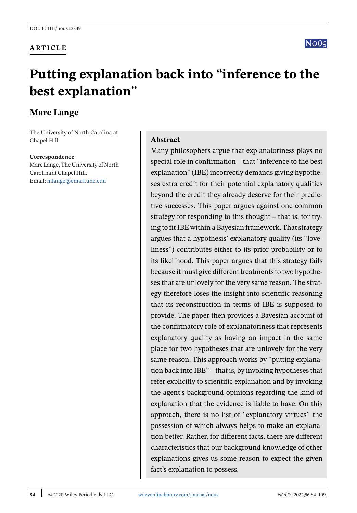#### **ARTICLE**



# **Putting explanation back into "inference to the best explanation"**

# **Marc Lange**

The University of North Carolina at Chapel Hill

#### **Correspondence**

Marc Lange, The University of North Carolina at Chapel Hill. Email: [mlange@email.unc.edu](mailto:mlange@email.unc.edu)

#### **Abstract**

Many philosophers argue that explanatoriness plays no special role in confirmation – that "inference to the best explanation" (IBE) incorrectly demands giving hypotheses extra credit for their potential explanatory qualities beyond the credit they already deserve for their predictive successes. This paper argues against one common strategy for responding to this thought – that is, for trying to fit IBE within a Bayesian framework. That strategy argues that a hypothesis' explanatory quality (its "loveliness") contributes either to its prior probability or to its likelihood. This paper argues that this strategy fails because it must give different treatments to two hypotheses that are unlovely for the very same reason. The strategy therefore loses the insight into scientific reasoning that its reconstruction in terms of IBE is supposed to provide. The paper then provides a Bayesian account of the confirmatory role of explanatoriness that represents explanatory quality as having an impact in the same place for two hypotheses that are unlovely for the very same reason. This approach works by "putting explanation back into IBE" – that is, by invoking hypotheses that refer explicitly to scientific explanation and by invoking the agent's background opinions regarding the kind of explanation that the evidence is liable to have. On this approach, there is no list of "explanatory virtues" the possession of which always helps to make an explanation better. Rather, for different facts, there are different characteristics that our background knowledge of other explanations gives us some reason to expect the given fact's explanation to possess.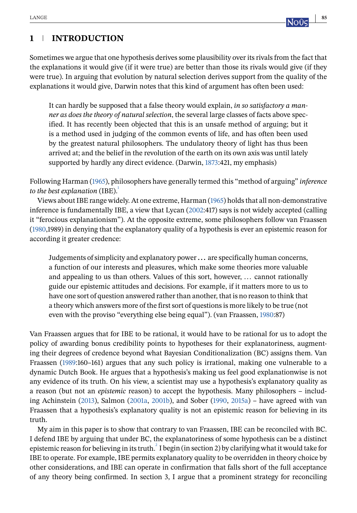# **1 INTRODUCTION**

Sometimes we argue that one hypothesis derives some plausibility over its rivals from the fact that the explanations it would give (if it were true) are better than those its rivals would give (if they were true). In arguing that evolution by natural selection derives support from the quality of the explanations it would give, Darwin notes that this kind of argument has often been used:

It can hardly be supposed that a false theory would explain, *in so satisfactory a manner as does the theory of natural selection*, the several large classes of facts above specified. It has recently been objected that this is an unsafe method of arguing; but it is a method used in judging of the common events of life, and has often been used by the greatest natural philosophers. The undulatory theory of light has thus been arrived at; and the belief in the revolution of the earth on its own axis was until lately supported by hardly any direct evidence. (Darwin, [1873:](#page-24-0)421, my emphasis)

Following Harman [\(1965\)](#page-24-0), philosophers have generally termed this "method of arguing" *inference to the best explanation* (IBE)[.](#page-18-0)

Views about IBE range widely. At one extreme, Harman [\(1965\)](#page-24-0) holds that all non-demonstrative inference is fundamentally IBE, a view that Lycan [\(2002:](#page-25-0)417) says is not widely accepted (calling it "ferocious explanationism"). At the opposite extreme, some philosophers follow van Fraassen [\(1980,](#page-25-0)1989) in denying that the explanatory quality of a hypothesis is ever an epistemic reason for according it greater credence:

Judgements of simplicity and explanatory power**...** are specifically human concerns, a function of our interests and pleasures, which make some theories more valuable and appealing to us than others. Values of this sort, however, ... cannot rationally guide our epistemic attitudes and decisions. For example, if it matters more to us to have one sort of question answered rather than another, that is no reason to think that a theory which answers more of the first sort of questions is more likely to be true (not even with the proviso "everything else being equal"). (van Fraassen, [1980:](#page-25-0)87)

Van Fraassen argues that for IBE to be rational, it would have to be rational for us to adopt the policy of awarding bonus credibility points to hypotheses for their explanatoriness, augmenting their degrees of credence beyond what Bayesian Conditionalization (BC) assigns them. Van Fraassen [\(1989:](#page-25-0)160–161) argues that any such policy is irrational, making one vulnerable to a dynamic Dutch Book. He argues that a hypothesis's making us feel good explanationwise is not any evidence of its truth. On his view, a scientist may use a hypothesis's explanatory quality as a reason (but not an *epistemic* reason) to accept the hypothesis. Many philosophers – including Achinstein [\(2013\)](#page-24-0), Salmon [\(2001a,](#page-25-0) [2001b\)](#page-25-0), and Sober [\(1990,](#page-25-0) [2015a\)](#page-25-0) – have agreed with van Fraassen that a hypothesis's explanatory quality is not an epistemic reason for believing in its truth.

My aim in this paper is to show that contrary to van Fraassen, IBE can be reconciled with BC. I defend IBE by arguing that under BC, the explanatoriness of some hypothesis can be a distinct epistemic reason for believing in its truth[.](#page-18-0) $^2$  I begin (in section 2) by clarifying what it would take for IBE to operate. For example, IBE permits explanatory quality to be overridden in theory choice by other considerations, and IBE can operate in confirmation that falls short of the full acceptance of any theory being confirmed. In section 3, I argue that a prominent strategy for reconciling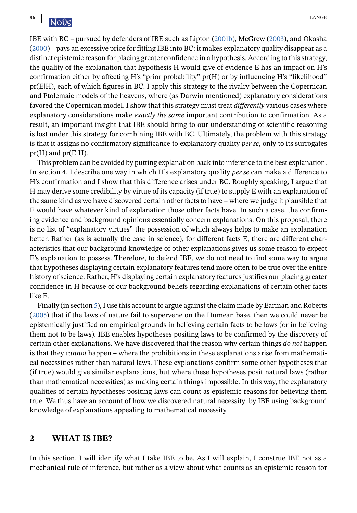IBE with BC – pursued by defenders of IBE such as Lipton [\(2001b\)](#page-25-0), McGrew [\(2003\)](#page-25-0), and Okasha [\(2000\)](#page-25-0) – pays an excessive price for fitting IBE into BC: it makes explanatory quality disappear as a distinct epistemic reason for placing greater confidence in a hypothesis. According to this strategy, the quality of the explanation that hypothesis H would give of evidence E has an impact on H's confirmation either by affecting H's "prior probability" pr(H) or by influencing H's "likelihood" pr(E|H), each of which figures in BC. I apply this strategy to the rivalry between the Copernican and Ptolemaic models of the heavens, where (as Darwin mentioned) explanatory considerations favored the Copernican model. I show that this strategy must treat *differently* various cases where explanatory considerations make *exactly the same* important contribution to confirmation. As a result, an important insight that IBE should bring to our understanding of scientific reasoning is lost under this strategy for combining IBE with BC. Ultimately, the problem with this strategy is that it assigns no confirmatory significance to explanatory quality *per se*, only to its surrogates  $pr(H)$  and  $pr(E|H)$ .

This problem can be avoided by putting explanation back into inference to the best explanation. In section 4, I describe one way in which H's explanatory quality *per se* can make a difference to H's confirmation and I show that this difference arises under BC. Roughly speaking, I argue that H may derive some credibility by virtue of its capacity (if true) to supply E with an explanation of the same kind as we have discovered certain other facts to have – where we judge it plausible that E would have whatever kind of explanation those other facts have. In such a case, the confirming evidence and background opinions essentially concern explanations. On this proposal, there is no list of "explanatory virtues" the possession of which always helps to make an explanation better. Rather (as is actually the case in science), for different facts E, there are different characteristics that our background knowledge of other explanations gives us some reason to expect E's explanation to possess. Therefore, to defend IBE, we do not need to find some way to argue that hypotheses displaying certain explanatory features tend more often to be true over the entire history of science. Rather, H's displaying certain explanatory features justifies our placing greater confidence in H because of our background beliefs regarding explanations of certain other facts like E.

Finally (in section [5\)](#page-16-0), I use this account to argue against the claim made by Earman and Roberts [\(2005\)](#page-24-0) that if the laws of nature fail to supervene on the Humean base, then we could never be epistemically justified on empirical grounds in believing certain facts to be laws (or in believing them not to be laws). IBE enables hypotheses positing laws to be confirmed by the discovery of certain other explanations. We have discovered that the reason why certain things *do not* happen is that they *cannot* happen – where the prohibitions in these explanations arise from mathematical necessities rather than natural laws. These explanations confirm some other hypotheses that (if true) would give similar explanations, but where these hypotheses posit natural laws (rather than mathematical necessities) as making certain things impossible. In this way, the explanatory qualities of certain hypotheses positing laws can count as epistemic reasons for believing them true. We thus have an account of how we discovered natural necessity: by IBE using background knowledge of explanations appealing to mathematical necessity.

## **2 WHAT IS IBE?**

In this section, I will identify what I take IBE to be. As I will explain, I construe IBE not as a mechanical rule of inference, but rather as a view about what counts as an epistemic reason for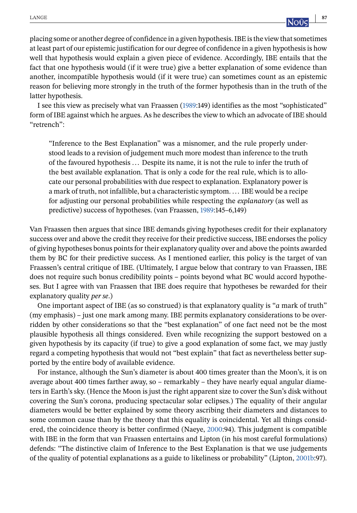placing some or another degree of confidence in a given hypothesis. IBE is the view that sometimes at least part of our epistemic justification for our degree of confidence in a given hypothesis is how well that hypothesis would explain a given piece of evidence. Accordingly, IBE entails that the fact that one hypothesis would (if it were true) give a better explanation of some evidence than another, incompatible hypothesis would (if it were true) can sometimes count as an epistemic reason for believing more strongly in the truth of the former hypothesis than in the truth of the latter hypothesis.

I see this view as precisely what van Fraassen [\(1989:](#page-25-0)149) identifies as the most "sophisticated" form of IBE against which he argues. As he describes the view to which an advocate of IBE should "retrench":

"Inference to the Best Explanation" was a misnomer, and the rule properly understood leads to a revision of judgement much more modest than inference to the truth of the favoured hypothesis ... Despite its name, it is not the rule to infer the truth of the best available explanation. That is only a code for the real rule, which is to allocate our personal probabilities with due respect to explanation. Explanatory power is a mark of truth, not infallible, but a characteristic symptom. ... IBE would be a recipe for adjusting our personal probabilities while respecting the *explanatory* (as well as predictive) success of hypotheses. (van Fraassen, [1989:](#page-25-0)145–6,149)

Van Fraassen then argues that since IBE demands giving hypotheses credit for their explanatory success over and above the credit they receive for their predictive success, IBE endorses the policy of giving hypotheses bonus points for their explanatory quality over and above the points awarded them by BC for their predictive success. As I mentioned earlier, this policy is the target of van Fraassen's central critique of IBE. (Ultimately, I argue below that contrary to van Fraassen, IBE does not require such bonus credibility points – points beyond what BC would accord hypotheses. But I agree with van Fraassen that IBE does require that hypotheses be rewarded for their explanatory quality *per se*.)

One important aspect of IBE (as so construed) is that explanatory quality is "*a* mark of truth" (my emphasis) – just one mark among many. IBE permits explanatory considerations to be overridden by other considerations so that the "best explanation" of one fact need not be the most plausible hypothesis all things considered. Even while recognizing the support bestowed on a given hypothesis by its capacity (if true) to give a good explanation of some fact, we may justly regard a competing hypothesis that would not "best explain" that fact as nevertheless better supported by the entire body of available evidence.

For instance, although the Sun's diameter is about 400 times greater than the Moon's, it is on average about 400 times farther away, so – remarkably – they have nearly equal angular diameters in Earth's sky. (Hence the Moon is just the right apparent size to cover the Sun's disk without covering the Sun's corona, producing spectacular solar eclipses.) The equality of their angular diameters would be better explained by some theory ascribing their diameters and distances to some common cause than by the theory that this equality is coincidental. Yet all things considered, the coincidence theory is better confirmed (Naeye, [2000:](#page-25-0)94). This judgment is compatible with IBE in the form that van Fraassen entertains and Lipton (in his most careful formulations) defends: "The distinctive claim of Inference to the Best Explanation is that we use judgements of the quality of potential explanations as a guide to likeliness or probability" (Lipton, [2001b:](#page-25-0)97).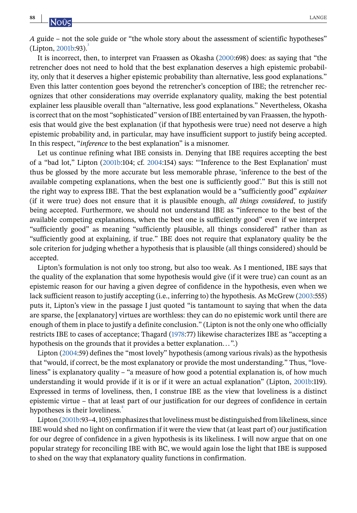*A* guide – not the sole guide or "the whole story about the assessment of scientific hypotheses"  $(Lipton, 2001b:93)$  $(Lipton, 2001b:93)$  $(Lipton, 2001b:93)$ [.](#page-18-0)

It is incorrect, then, to interpret van Fraassen as Okasha [\(2000:](#page-25-0)698) does: as saying that "the retrencher does not need to hold that the best explanation deserves a high epistemic probability, only that it deserves a higher epistemic probability than alternative, less good explanations." Even this latter contention goes beyond the retrencher's conception of IBE; the retrencher recognizes that other considerations may override explanatory quality, making the best potential explainer less plausible overall than "alternative, less good explanations." Nevertheless, Okasha is correct that on the most "sophisticated" version of IBE entertained by van Fraassen, the hypothesis that would give the best explanation (if that hypothesis were true) need not deserve a high epistemic probability and, in particular, may have insufficient support to justify being accepted. In this respect, "*inference* to the best explanation" is a misnomer.

Let us continue refining what IBE consists in. Denying that IBE requires accepting the best of a "bad lot," Lipton [\(2001b:](#page-25-0)104; cf. [2004:](#page-25-0)154) says: "'Inference to the Best Explanation' must thus be glossed by the more accurate but less memorable phrase, 'inference to the best of the available competing explanations, when the best one is sufficiently good'." But this is still not the right way to express IBE. That the best explanation would be a "sufficiently good" *explainer* (if it were true) does not ensure that it is plausible enough, *all things considered*, to justify being accepted. Furthermore, we should not understand IBE as "inference to the best of the available competing explanations, when the best one is sufficiently good" even if we interpret "sufficiently good" as meaning "sufficiently plausible, all things considered" rather than as "sufficiently good at explaining, if true." IBE does not require that explanatory quality be the sole criterion for judging whether a hypothesis that is plausible (all things considered) should be accepted.

Lipton's formulation is not only too strong, but also too weak. As I mentioned, IBE says that the quality of the explanation that some hypothesis would give (if it were true) can count as an epistemic reason for our having a given degree of confidence in the hypothesis, even when we lack sufficient reason to justify accepting (i.e., inferring to) the hypothesis. As McGrew [\(2003:](#page-25-0)555) puts it, Lipton's view in the passage I just quoted "is tantamount to saying that when the data are sparse, the [explanatory] virtues are worthless: they can do no epistemic work until there are enough of them in place to justify a definite conclusion." (Lipton is not the only one who officially restricts IBE to cases of acceptance; Thagard [\(1978:](#page-25-0)77) likewise characterizes IBE as "accepting a hypothesis on the grounds that it provides a better explanation... ".)

Lipton [\(2004:](#page-25-0)59) defines the "most lovely" hypothesis (among various rivals) as the hypothesis that "would, if correct, be the most explanatory or provide the most understanding." Thus, "loveliness" is explanatory quality – "a measure of how good a potential explanation is, of how much understanding it would provide if it is or if it were an actual explanation" (Lipton, [2001b:](#page-25-0)119). Expressed in terms of loveliness, then, I construe IBE as the view that loveliness is a distinct epistemic virtue – that at least part of our justification for our degrees of confidence in certain hypotheses is their loveliness[.](#page-18-0)

Lipton [\(2001b:](#page-25-0)93–4, 105) emphasizes that loveliness must be distinguished from likeliness, since IBE would shed no light on confirmation if it were the view that (at least part of) our justification for our degree of confidence in a given hypothesis is its likeliness. I will now argue that on one popular strategy for reconciling IBE with BC, we would again lose the light that IBE is supposed to shed on the way that explanatory quality functions in confirmation.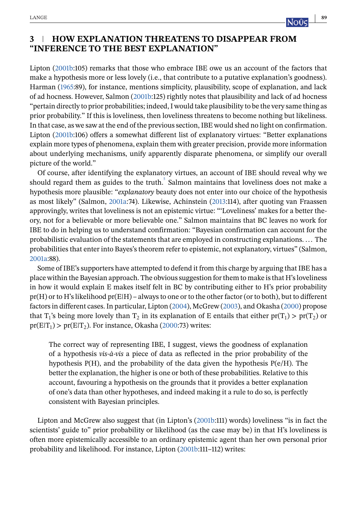# **3 HOW EXPLANATION THREATENS TO DISAPPEAR FROM "INFERENCE TO THE BEST EXPLANATION"**

Lipton [\(2001b:](#page-25-0)105) remarks that those who embrace IBE owe us an account of the factors that make a hypothesis more or less lovely (i.e., that contribute to a putative explanation's goodness). Harman [\(1965:](#page-24-0)89), for instance, mentions simplicity, plausibility, scope of explanation, and lack of ad hocness. However, Salmon [\(2001b:](#page-25-0)125) rightly notes that plausibility and lack of ad hocness "pertain directly to prior probabilities; indeed, I would take plausibility to be the very same thing as prior probability." If this is loveliness, then loveliness threatens to become nothing but likeliness. In that case, as we saw at the end of the previous section, IBE would shed no light on confirmation. Lipton [\(2001b:](#page-25-0)106) offers a somewhat different list of explanatory virtues: "Better explanations explain more types of phenomena, explain them with greater precision, provide more information about underlying mechanisms, unify apparently disparate phenomena, or simplify our overall picture of the world."

Of course, after identifying the explanatory virtues, an account of IBE should reveal why we should regard them as guides to the truth[.](#page-18-0) Salmon maintains that loveliness does not make a hypothesis more plausible: "*explanatory* beauty does not enter into our choice of the hypothesis as most likely" (Salmon, [2001a:](#page-25-0)74). Likewise, Achinstein [\(2013:](#page-24-0)114), after quoting van Fraassen approvingly, writes that loveliness is not an epistemic virtue: "'Loveliness' makes for a better theory, not for a believable or more believable one." Salmon maintains that BC leaves no work for IBE to do in helping us to understand confirmation: "Bayesian confirmation can account for the probabilistic evaluation of the statements that are employed in constructing explanations. ... The probabilities that enter into Bayes's theorem refer to epistemic, not explanatory, virtues" (Salmon, [2001a:](#page-25-0)88).

Some of IBE's supporters have attempted to defend it from this charge by arguing that IBE has a place within the Bayesian approach. The obvious suggestion for them to make is that H's loveliness in how it would explain E makes itself felt in BC by contributing either to H's prior probability pr(H) or to H's likelihood pr(E|H) – always to one or to the other factor (or to both), but to different factors in different cases. In particular, Lipton [\(2004\)](#page-25-0), McGrew [\(2003\)](#page-25-0), and Okasha [\(2000\)](#page-25-0) propose that  $T_1$ 's being more lovely than  $T_2$  in its explanation of E entails that either  $pr(T_1) > pr(T_2)$  or  $pr(E|T_1)$  >  $pr(E|T_2)$ . For instance, Okasha [\(2000:](#page-25-0)73) writes:

The correct way of representing IBE, I suggest, views the goodness of explanation of a hypothesis *vis-à-vis* a piece of data as reflected in the prior probability of the hypothesis  $P(H)$ , and the probability of the data given the hypothesis  $P(e/H)$ . The better the explanation, the higher is one or both of these probabilities. Relative to this account, favouring a hypothesis on the grounds that it provides a better explanation of one's data than other hypotheses, and indeed making it a rule to do so, is perfectly consistent with Bayesian principles.

Lipton and McGrew also suggest that (in Lipton's [\(2001b:](#page-25-0)111) words) loveliness "is in fact the scientists' guide to" prior probability or likelihood (as the case may be) in that H's loveliness is often more epistemically accessible to an ordinary epistemic agent than her own personal prior probability and likelihood. For instance, Lipton [\(2001b:](#page-25-0)111–112) writes: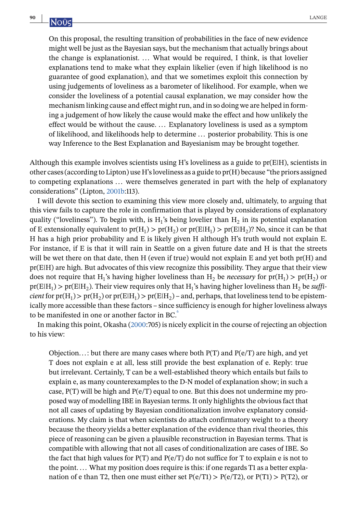On this proposal, the resulting transition of probabilities in the face of new evidence might well be just as the Bayesian says, but the mechanism that actually brings about the change is explanationist. ... What would be required, I think, is that lovelier explanations tend to make what they explain likelier (even if high likelihood is no guarantee of good explanation), and that we sometimes exploit this connection by using judgements of loveliness as a barometer of likelihood. For example, when we consider the loveliness of a potential causal explanation, we may consider how the mechanism linking cause and effect might run, and in so doing we are helped in forming a judgement of how likely the cause would make the effect and how unlikely the effect would be without the cause. ... Explanatory loveliness is used as a symptom of likelihood, and likelihoods help to determine ... posterior probability. This is one way Inference to the Best Explanation and Bayesianism may be brought together.

Although this example involves scientists using H's loveliness as a guide to pr(E|H), scientists in other cases (according to Lipton) use H's loveliness as a guide to pr(H) because "the priors assigned to competing explanations ... were themselves generated in part with the help of explanatory considerations" (Lipton, [2001b:](#page-25-0)113).

I will devote this section to examining this view more closely and, ultimately, to arguing that this view fails to capture the role in confirmation that is played by considerations of explanatory quality ("loveliness"). To begin with, is  $H_1$ 's being lovelier than  $H_2$  in its potential explanation of E extensionally equivalent to  $pr(H_1) > pr(H_2)$  or  $pr(E|H_1) > pr(E|H_2)$ ? No, since it can be that H has a high prior probability and E is likely given H although H's truth would not explain E. For instance, if E is that it will rain in Seattle on a given future date and H is that the streets will be wet there on that date, then H (even if true) would not explain E and yet both pr(H) and pr(E|H) are high. But advocates of this view recognize this possibility. They argue that their view does not require that H<sub>1</sub>'s having higher loveliness than H<sub>2</sub> be *necessary* for  $pr(H_1) > pr(H_2)$  or  $pr(E|H_1)$  >  $pr(E|H_2)$ . Their view requires only that  $H_1$ 's having higher loveliness than  $H_2$  be *sufficient* for  $pr(H_1)$  >  $pr(H_2)$  or  $pr(E|H_1)$  >  $pr(E|H_2)$  – and, perhaps, that loveliness tend to be epistemically more accessible than these factors – since sufficiency is enough for higher loveliness always to be manifested in one or another factor in BC[.](#page-19-0)

In making this point, Okasha [\(2000:](#page-25-0)705) is nicely explicit in the course of rejecting an objection to his view:

Objection...: but there are many cases where both  $P(T)$  and  $P(e/T)$  are high, and yet T does not explain e at all, less still provide the best explanation of e. Reply: true but irrelevant. Certainly, T can be a well-established theory which entails but fails to explain e, as many counterexamples to the D-N model of explanation show; in such a case,  $P(T)$  will be high and  $P(e/T)$  equal to one. But this does not undermine my proposed way of modelling IBE in Bayesian terms. It only highlights the obvious fact that not all cases of updating by Bayesian conditionalization involve explanatory considerations. My claim is that when scientists do attach confirmatory weight to a theory because the theory yields a better explanation of the evidence than rival theories, this piece of reasoning can be given a plausible reconstruction in Bayesian terms. That is compatible with allowing that not all cases of conditionalization are cases of IBE. So the fact that high values for  $P(T)$  and  $P(e/T)$  do not suffice for T to explain e is not to the point. ... What my position does require is this: if one regards T1 as a better explanation of e than T2, then one must either set  $P(e/T1) > P(e/T2)$ , or  $P(T1) > P(T2)$ , or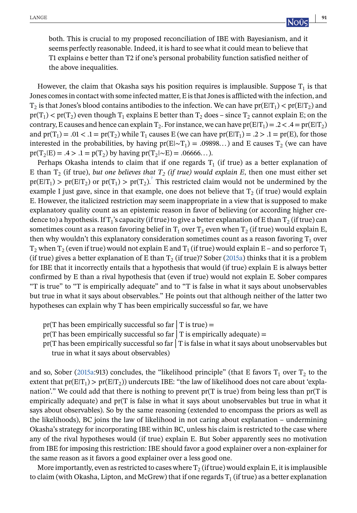both. This is crucial to my proposed reconciliation of IBE with Bayesianism, and it seems perfectly reasonable. Indeed, it is hard to see what it could mean to believe that T1 explains e better than T2 if one's personal probability function satisfied neither of the above inequalities.

However, the claim that Okasha says his position requires is implausible. Suppose  $T_1$  is that Jones comes in contact with some infected matter, E is that Jones is afflicted with the infection, and  $T_2$  is that Jones's blood contains antibodies to the infection. We can have  $pr(E|T_1) < pr(E|T_2)$  and  $pr(T_1) < pr(T_2)$  even though  $T_1$  explains E better than  $T_2$  does – since  $T_2$  cannot explain E; on the contrary, E causes and hence can explain  $T_2$ . For instance, we can have  $pr(E|T_1) = .2 < .4 = pr(E|T_2)$ and  $pr(T_1) = .01 < .1 = pr(T_2)$  while  $T_1$  causes E (we can have  $pr(E|T_1) = .2 > .1 = pr(E)$ , for those interested in the probabilities, by having  $pr(E|\sim T_1) = .09898...$ ) and E causes  $T_2$  (we can have  $pr(T_2|E) = .4 > .1 = p(T_2)$  by having  $pr(T_2|\sim E) = .06666...$ ).

Perhaps Okasha intends to claim that if one regards  $T_1$  (if true) as a better explanation of E than  $T_2$  (if true), *but one believes that*  $T_2$  *(if true) would explain E*, then one must either set  $pr(E|T_1) > pr(E|T_2)$  or  $pr(T_1) > pr(T_2)$ [.](#page-19-0) This restricted claim would not be undermined by the example I just gave, since in that example, one does not believe that  $T_2$  (if true) would explain E. However, the italicized restriction may seem inappropriate in a view that is supposed to make explanatory quality count as an epistemic reason in favor of believing (or according higher credence to) a hypothesis. If  $T_1$ 's capacity (if true) to give a better explanation of E than  $T_2$  (if true) can sometimes count as a reason favoring belief in  $T_1$  over  $T_2$  even when  $T_2$  (if true) would explain E, then why wouldn't this explanatory consideration sometimes count as a reason favoring  $T_1$  over  $T_2$  when  $T_2$  (even if true) would not explain E and  $T_1$  (if true) would explain E – and so perforce  $T_1$ (if true) gives a better explanation of E than  $T_2$  (if true)? Sober [\(2015a\)](#page-25-0) thinks that it is a problem for IBE that it incorrectly entails that a hypothesis that would (if true) explain E is always better confirmed by E than a rival hypothesis that (even if true) would not explain E. Sober compares "T is true" to "T is empirically adequate" and to "T is false in what it says about unobservables but true in what it says about observables." He points out that although neither of the latter two hypotheses can explain why T has been empirically successful so far, we have

pr(T has been empirically successful so far  $\mid$  T is true) =

pr(T has been empirically successful so far  $\mid$  T is empirically adequate) =

pr(T has been empirically successful so far  $\vert$  T is false in what it says about unobservables but true in what it says about observables)

and so, Sober [\(2015a:](#page-25-0)913) concludes, the "likelihood principle" (that E favors  $T_1$  over  $T_2$  to the extent that  $pr(E|T_1) > pr(E|T_2)$ ) undercuts IBE: "the law of likelihood does not care about 'explanation'." We could add that there is nothing to prevent  $pr(T \text{ is true})$  from being less than  $pr(T \text{ is}$ empirically adequate) and pr(T is false in what it says about unobservables but true in what it says about observables). So by the same reasoning (extended to encompass the priors as well as the likelihoods), BC joins the law of likelihood in not caring about explanation – undermining Okasha's strategy for incorporating IBE within BC, unless his claim is restricted to the case where any of the rival hypotheses would (if true) explain E. But Sober apparently sees no motivation from IBE for imposing this restriction: IBE should favor a good explainer over a non-explainer for the same reason as it favors a good explainer over a less good one.

More importantly, even as restricted to cases where  $T_2$  (if true) would explain E, it is implausible to claim (with Okasha, Lipton, and McGrew) that if one regards  $T_1$  (if true) as a better explanation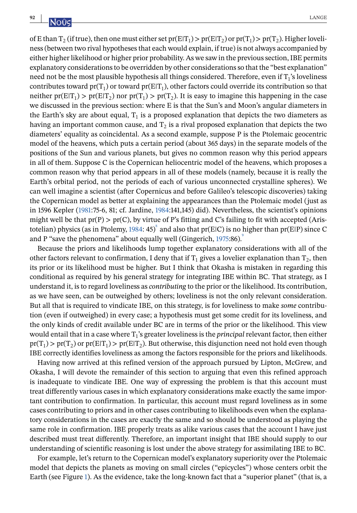of E than  $T_2$  (if true), then one must either set pr(E|T<sub>1</sub>) > pr(E|T<sub>2</sub>) or pr(T<sub>1</sub>) > pr(T<sub>2</sub>). Higher loveliness (between two rival hypotheses that each would explain, if true) is not always accompanied by either higher likelihood or higher prior probability. As we saw in the previous section, IBE permits explanatory considerations to be overridden by other considerations so that the "best explanation" need not be the most plausible hypothesis all things considered. Therefore, even if  $T_1$ 's loveliness contributes toward pr( $T_1$ ) or toward pr( $E|T_1$ ), other factors could override its contribution so that neither  $pr(E|T_1)$  >  $pr(E|T_2)$  nor  $pr(T_1)$  >  $pr(T_2)$ . It is easy to imagine this happening in the case we discussed in the previous section: where E is that the Sun's and Moon's angular diameters in the Earth's sky are about equal,  $T_1$  is a proposed explanation that depicts the two diameters as having an important common cause, and  $T_2$  is a rival proposed explanation that depicts the two diameters' equality as coincidental. As a second example, suppose P is the Ptolemaic geocentric model of the heavens, which puts a certain period (about 365 days) in the separate models of the positions of the Sun and various planets, but gives no common reason why this period appears in all of them. Suppose C is the Copernican heliocentric model of the heavens, which proposes a common reason why that period appears in all of these models (namely, because it is really the Earth's orbital period, not the periods of each of various unconnected crystalline spheres). We can well imagine a scientist (after Copernicus and before Galileo's telescopic discoveries) taking the Copernican model as better at explaining the appearances than the Ptolemaic model (just as in 1596 Kepler [\(1981:](#page-24-0)75-6, 81; cf. Jardine, [1984:](#page-24-0)141,145) did). Nevertheless, the scientist's opinions might well be that  $pr(P) > pr(C)$ , by virtue of P's fitting and C's failing to fit with accepted (Aris-totelian) physics (as in Ptolemy, [1984:](#page-25-0) 45[\)](#page-19-0) $^\circ$  and also that pr(E|C) is no higher than pr(E|P) since C and P "save the phenomena" about equally well (Gingerich,  $1975:86$  $1975:86$ )[.](#page-19-0)

Because the priors and likelihoods lump together explanatory considerations with all of the other factors relevant to confirmation, I deny that if  $T_1$  gives a lovelier explanation than  $T_2$ , then its prior or its likelihood must be higher. But I think that Okasha is mistaken in regarding this conditional as required by his general strategy for integrating IBE within BC. That strategy, as I understand it, is to regard loveliness as *contributing* to the prior or the likelihood. Its contribution, as we have seen, can be outweighed by others; loveliness is not the only relevant consideration. But all that is required to vindicate IBE, on this strategy, is for loveliness to make *some* contribution (even if outweighed) in every case; a hypothesis must get some credit for its loveliness, and the only kinds of credit available under BC are in terms of the prior or the likelihood. This view would entail that in a case where  $T_1$ 's greater loveliness is the *principal* relevant factor, then either  $pr(T_1)$  >  $pr(T_2)$  or  $pr(E|T_1)$  >  $pr(E|T_2)$ . But otherwise, this disjunction need not hold even though IBE correctly identifies loveliness as among the factors responsible for the priors and likelihoods.

Having now arrived at this refined version of the approach pursued by Lipton, McGrew, and Okasha, I will devote the remainder of this section to arguing that even this refined approach is inadequate to vindicate IBE. One way of expressing the problem is that this account must treat differently various cases in which explanatory considerations make exactly the same important contribution to confirmation. In particular, this account must regard loveliness as in some cases contributing to priors and in other cases contributing to likelihoods even when the explanatory considerations in the cases are exactly the same and so should be understood as playing the same role in confirmation. IBE properly treats as alike various cases that the account I have just described must treat differently. Therefore, an important insight that IBE should supply to our understanding of scientific reasoning is lost under the above strategy for assimilating IBE to BC.

For example, let's return to the Copernican model's explanatory superiority over the Ptolemaic model that depicts the planets as moving on small circles ("epicycles") whose centers orbit the Earth (see Figure [1\)](#page-9-0). As the evidence, take the long-known fact that a "superior planet" (that is, a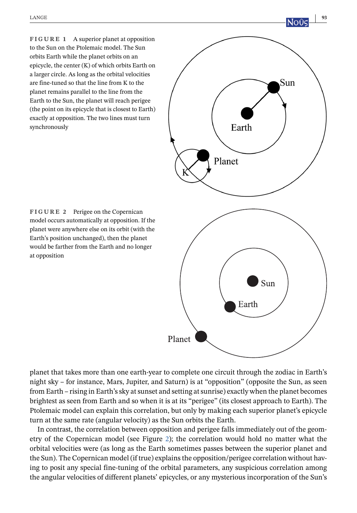<span id="page-9-0"></span>**FIGURE 1** A superior planet at opposition to the Sun on the Ptolemaic model. The Sun orbits Earth while the planet orbits on an epicycle, the center (K) of which orbits Earth on a larger circle. As long as the orbital velocities are fine-tuned so that the line from K to the planet remains parallel to the line from the Earth to the Sun, the planet will reach perigee (the point on its epicycle that is closest to Earth) exactly at opposition. The two lines must turn synchronously



**FIGURE 2** Perigee on the Copernican model occurs automatically at opposition. If the planet were anywhere else on its orbit (with the Earth's position unchanged), then the planet would be farther from the Earth and no longer at opposition

planet that takes more than one earth-year to complete one circuit through the zodiac in Earth's night sky – for instance, Mars, Jupiter, and Saturn) is at "opposition" (opposite the Sun, as seen from Earth – rising in Earth's sky at sunset and setting at sunrise) exactly when the planet becomes brightest as seen from Earth and so when it is at its "perigee" (its closest approach to Earth). The Ptolemaic model can explain this correlation, but only by making each superior planet's epicycle turn at the same rate (angular velocity) as the Sun orbits the Earth.

In contrast, the correlation between opposition and perigee falls immediately out of the geometry of the Copernican model (see Figure 2); the correlation would hold no matter what the orbital velocities were (as long as the Earth sometimes passes between the superior planet and the Sun). The Copernican model (if true) explains the opposition/perigee correlation without having to posit any special fine-tuning of the orbital parameters, any suspicious correlation among the angular velocities of different planets' epicycles, or any mysterious incorporation of the Sun's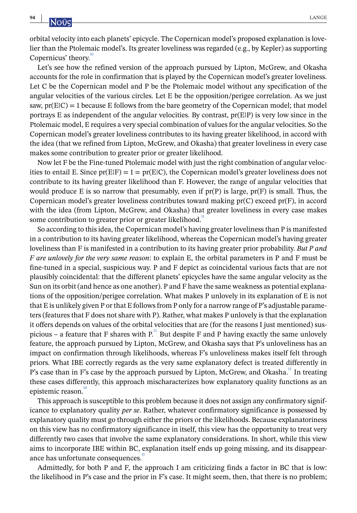orbital velocity into each planets' epicycle. The Copernican model's proposed explanation is lovelier than the Ptolemaic model's. Its greater loveliness was regarded (e.g., by Kepler) as supporting Copernicus' theory[.](#page-19-0)<sup>10</sup>

Let's see how the refined version of the approach pursued by Lipton, McGrew, and Okasha accounts for the role in confirmation that is played by the Copernican model's greater loveliness. Let C be the Copernican model and P be the Ptolemaic model without any specification of the angular velocities of the various circles. Let E be the opposition/perigee correlation. As we just saw,  $pr(E|C) = 1$  because E follows from the bare geometry of the Copernican model; that model portrays E as independent of the angular velocities. By contrast,  $pr(E|P)$  is very low since in the Ptolemaic model, E requires a very special combination of values for the angular velocities. So the Copernican model's greater loveliness contributes to its having greater likelihood, in accord with the idea (that we refined from Lipton, McGrew, and Okasha) that greater loveliness in every case makes some contribution to greater prior or greater likelihood.

Now let F be the Fine-tuned Ptolemaic model with just the right combination of angular velocities to entail E. Since  $pr(E|F) = 1 = pr(E|C)$ , the Copernican model's greater loveliness does not contribute to its having greater likelihood than F. However, the range of angular velocities that would produce E is so narrow that presumably, even if  $pr(P)$  is large,  $pr(F)$  is small. Thus, the Copernican model's greater loveliness contributes toward making  $pr(C)$  exceed  $pr(F)$ , in accord with the idea (from Lipton, McGrew, and Okasha) that greater loveliness in every case makes some contribution to greater prior or greater likelihood[.](#page-19-0)<sup>1</sup>

So according to this idea, the Copernican model's having greater loveliness than P is manifested in a contribution to its having greater likelihood, whereas the Copernican model's having greater loveliness than F is manifested in a contribution to its having greater prior probability. *But P and F are unlovely for the very same reason*: to explain E, the orbital parameters in P and F must be fine-tuned in a special, suspicious way. P and F depict as coincidental various facts that are not plausibly coincidental: that the different planets' epicycles have the same angular velocity as the Sun on its orbit (and hence as one another). P and F have the same weakness as potential explanations of the opposition/perigee correlation. What makes P unlovely in its explanation of E is not that E is unlikely given P or that E follows from P only for a narrow range of P's adjustable parameters (features that F does not share with P). Rather, what makes P unlovely is that the explanation it offers depends on values of the orbital velocities that are (for the reasons I just mentioned) suspicious – a feature that F shares with  $P<sup>12</sup>$  But despite F and P having exactly the same unlovely feature, the approach pursued by Lipton, McGrew, and Okasha says that P's unloveliness has an impact on confirmation through likelihoods, whereas F's unloveliness makes itself felt through priors. What IBE correctly regards as the very same explanatory defect is treated differently in P's case than in F's case by the approach pursued by Lipton, McGrew, and Okasha[.](#page-19-0)<sup>13</sup> In treating these cases differently, this approach mischaracterizes how explanatory quality functions as an epistemic reason[.](#page-20-0)<sup>14</sup>

This approach is susceptible to this problem because it does not assign any confirmatory significance to explanatory quality *per se*. Rather, whatever confirmatory significance is possessed by explanatory quality must go through either the priors or the likelihoods. Because explanatoriness on this view has no confirmatory significance in itself, this view has the opportunity to treat very differently two cases that involve the same explanatory considerations. In short, while this view aims to incorporate IBE within BC, explanation itself ends up going missing, and its disappear-ance has unfortunate consequences[.](#page-20-0)<sup>1</sup>

Admittedly, for both P and F, the approach I am criticizing finds a factor in BC that is low: the likelihood in P's case and the prior in F's case. It might seem, then, that there is no problem;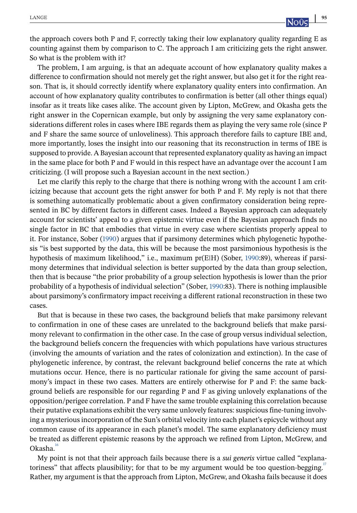the approach covers both P and F, correctly taking their low explanatory quality regarding E as counting against them by comparison to C. The approach I am criticizing gets the right answer. So what is the problem with it?

The problem, I am arguing, is that an adequate account of how explanatory quality makes a difference to confirmation should not merely get the right answer, but also get it for the right reason. That is, it should correctly identify where explanatory quality enters into confirmation. An account of how explanatory quality contributes to confirmation is better (all other things equal) insofar as it treats like cases alike. The account given by Lipton, McGrew, and Okasha gets the right answer in the Copernican example, but only by assigning the very same explanatory considerations different roles in cases where IBE regards them as playing the very same role (since P and F share the same source of unloveliness). This approach therefore fails to capture IBE and, more importantly, loses the insight into our reasoning that its reconstruction in terms of IBE is supposed to provide. A Bayesian account that represented explanatory quality as having an impact in the same place for both P and F would in this respect have an advantage over the account I am criticizing. (I will propose such a Bayesian account in the next section.)

Let me clarify this reply to the charge that there is nothing wrong with the account I am criticizing because that account gets the right answer for both P and F. My reply is not that there is something automatically problematic about a given confirmatory consideration being represented in BC by different factors in different cases. Indeed a Bayesian approach can adequately account for scientists' appeal to a given epistemic virtue even if the Bayesian approach finds no single factor in BC that embodies that virtue in every case where scientists properly appeal to it. For instance, Sober [\(1990\)](#page-25-0) argues that if parsimony determines which phylogenetic hypothesis "is best supported by the data, this will be because the most parsimonious hypothesis is the hypothesis of maximum likelihood," i.e., maximum pr(E|H) (Sober, [1990:](#page-25-0)89), whereas if parsimony determines that individual selection is better supported by the data than group selection, then that is because "the prior probability of a group selection hypothesis is lower than the prior probability of a hypothesis of individual selection" (Sober, [1990:](#page-25-0)83). There is nothing implausible about parsimony's confirmatory impact receiving a different rational reconstruction in these two cases.

But that is because in these two cases, the background beliefs that make parsimony relevant to confirmation in one of these cases are unrelated to the background beliefs that make parsimony relevant to confirmation in the other case. In the case of group versus individual selection, the background beliefs concern the frequencies with which populations have various structures (involving the amounts of variation and the rates of colonization and extinction). In the case of phylogenetic inference, by contrast, the relevant background belief concerns the rate at which mutations occur. Hence, there is no particular rationale for giving the same account of parsimony's impact in these two cases. Matters are entirely otherwise for P and F: the same background beliefs are responsible for our regarding P and F as giving unlovely explanations of the opposition/perigee correlation. P and F have the same trouble explaining this correlation because their putative explanations exhibit the very same unlovely features: suspicious fine-tuning involving a mysterious incorporation of the Sun's orbital velocity into each planet's epicycle without any common cause of its appearance in each planet's model. The same explanatory deficiency must be treated as different epistemic reasons by the approach we refined from Lipton, McGrew, and  $Okasha$ <sup>1</sup>

My point is not that their approach fails because there is a *sui generis* virtue called "explana-toriness" that affects plausibility; for that to be my argument would be too question-begging[.](#page-20-0) Rather, my argument is that the approach from Lipton, McGrew, and Okasha fails because it does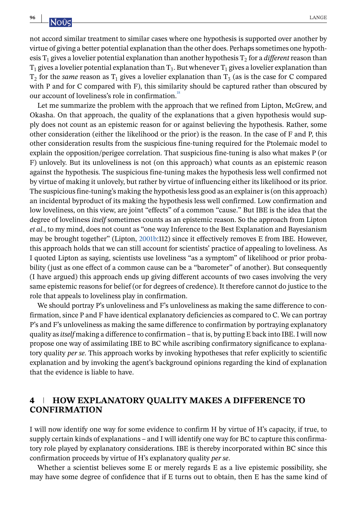not accord similar treatment to similar cases where one hypothesis is supported over another by virtue of giving a better potential explanation than the other does. Perhaps sometimes one hypothesis  $T_1$  gives a lovelier potential explanation than another hypothesis  $T_2$  for a *different* reason than  $T_1$  gives a lovelier potential explanation than  $T_3$ . But whenever  $T_1$  gives a lovelier explanation than  $T_2$  for the *same* reason as  $T_1$  gives a lovelier explanation than  $T_3$  (as is the case for C compared with P and for C compared with F), this similarity should be captured rather than obscured by our account of loveliness's role in confirmation[.](#page-20-0)<sup>1</sup>

Let me summarize the problem with the approach that we refined from Lipton, McGrew, and Okasha. On that approach, the quality of the explanations that a given hypothesis would supply does not count as an epistemic reason for or against believing the hypothesis. Rather, some other consideration (either the likelihood or the prior) is the reason. In the case of F and P, this other consideration results from the suspicious fine-tuning required for the Ptolemaic model to explain the opposition/perigee correlation. That suspicious fine-tuning is also what makes P (or F) unlovely. But its unloveliness is not (on this approach) what counts as an epistemic reason against the hypothesis. The suspicious fine-tuning makes the hypothesis less well confirmed not by virtue of making it unlovely, but rather by virtue of influencing either its likelihood or its prior. The suspicious fine-tuning's making the hypothesis less good as an explainer is (on this approach) an incidental byproduct of its making the hypothesis less well confirmed. Low confirmation and low loveliness, on this view, are joint "effects" of a common "cause." But IBE is the idea that the degree of loveliness *itself* sometimes counts as an epistemic reason. So the approach from Lipton *et al*., to my mind, does not count as "one way Inference to the Best Explanation and Bayesianism may be brought together" (Lipton, [2001b:](#page-25-0)112) since it effectively removes E from IBE. However, this approach holds that we can still account for scientists' practice of appealing to loveliness. As I quoted Lipton as saying, scientists use loveliness "as a symptom" of likelihood or prior probability (just as one effect of a common cause can be a "barometer" of another). But consequently (I have argued) this approach ends up giving different accounts of two cases involving the very same epistemic reasons for belief (or for degrees of credence). It therefore cannot do justice to the role that appeals to loveliness play in confirmation.

We should portray P's unloveliness and F's unloveliness as making the same difference to confirmation, since P and F have identical explanatory deficiencies as compared to C. We can portray P's and F's unloveliness as making the same difference to confirmation by portraying explanatory quality as*itself* making a difference to confirmation – that is, by putting E back into IBE. I will now propose one way of assimilating IBE to BC while ascribing confirmatory significance to explanatory quality *per se*. This approach works by invoking hypotheses that refer explicitly to scientific explanation and by invoking the agent's background opinions regarding the kind of explanation that the evidence is liable to have.

# **4 HOW EXPLANATORY QUALITY MAKES A DIFFERENCE TO CONFIRMATION**

I will now identify one way for some evidence to confirm H by virtue of H's capacity, if true, to supply certain kinds of explanations – and I will identify one way for BC to capture this confirmatory role played by explanatory considerations. IBE is thereby incorporated within BC since this confirmation proceeds by virtue of H's explanatory quality *per se*.

Whether a scientist believes some E or merely regards E as a live epistemic possibility, she may have some degree of confidence that if E turns out to obtain, then E has the same kind of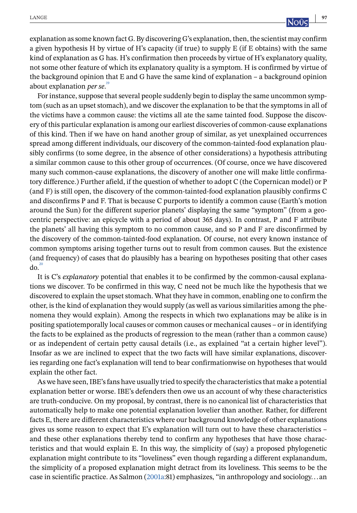explanation as some known fact G. By discovering G's explanation, then, the scientist may confirm a given hypothesis H by virtue of H's capacity (if true) to supply E (if E obtains) with the same kind of explanation as G has. H's confirmation then proceeds by virtue of H's explanatory quality, not some other feature of which its explanatory quality is a symptom. H is confirmed by virtue of the background opinion that E and G have the same kind of explanation – a background opinion about explanation *per se*[.](#page-21-0) 19

For instance, suppose that several people suddenly begin to display the same uncommon symptom (such as an upset stomach), and we discover the explanation to be that the symptoms in all of the victims have a common cause: the victims all ate the same tainted food. Suppose the discovery of this particular explanation is among our earliest discoveries of common-cause explanations of this kind. Then if we have on hand another group of similar, as yet unexplained occurrences spread among different individuals, our discovery of the common-tainted-food explanation plausibly confirms (to some degree, in the absence of other considerations) a hypothesis attributing a similar common cause to this other group of occurrences. (Of course, once we have discovered many such common-cause explanations, the discovery of another one will make little confirmatory difference.) Further afield, if the question of whether to adopt C (the Copernican model) or P (and F) is still open, the discovery of the common-tainted-food explanation plausibly confirms C and disconfirms P and F. That is because C purports to identify a common cause (Earth's motion around the Sun) for the different superior planets' displaying the same "symptom" (from a geocentric perspective: an epicycle with a period of about 365 days). In contrast, P and F attribute the planets' all having this symptom to no common cause, and so P and F are disconfirmed by the discovery of the common-tainted-food explanation. Of course, not every known instance of common symptoms arising together turns out to result from common causes. But the existence (and frequency) of cases that do plausibly has a bearing on hypotheses positing that other cases  $d\sigma$ <sup>20</sup>

It is C's *explanatory* potential that enables it to be confirmed by the common-causal explanations we discover. To be confirmed in this way, C need not be much like the hypothesis that we discovered to explain the upset stomach. What they have in common, enabling one to confirm the other, is the kind of explanation they would supply (as well as various similarities among the phenomena they would explain). Among the respects in which two explanations may be alike is in positing spatiotemporally local causes or common causes or mechanical causes – or in identifying the facts to be explained as the products of regression to the mean (rather than a common cause) or as independent of certain petty causal details (i.e., as explained "at a certain higher level"). Insofar as we are inclined to expect that the two facts will have similar explanations, discoveries regarding one fact's explanation will tend to bear confirmationwise on hypotheses that would explain the other fact.

As we have seen, IBE's fans have usually tried to specify the characteristics that make a potential explanation better or worse. IBE's defenders then owe us an account of why these characteristics are truth-conducive. On my proposal, by contrast, there is no canonical list of characteristics that automatically help to make one potential explanation lovelier than another. Rather, for different facts E, there are different characteristics where our background knowledge of other explanations gives us some reason to expect that E's explanation will turn out to have these characteristics – and these other explanations thereby tend to confirm any hypotheses that have those characteristics and that would explain E. In this way, the simplicity of (say) a proposed phylogenetic explanation might contribute to its "loveliness" even though regarding a different explanandum, the simplicity of a proposed explanation might detract from its loveliness. This seems to be the case in scientific practice. As Salmon [\(2001a:](#page-25-0)81) emphasizes, "in anthropology and sociology...an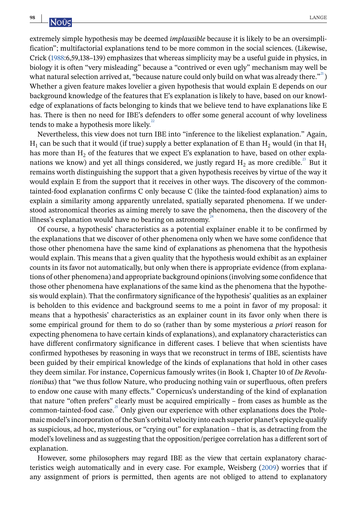extremely simple hypothesis may be deemed *implausible* because it is likely to be an oversimplification"; multifactorial explanations tend to be more common in the social sciences. (Likewise, Crick [\(1988:](#page-24-0)6,59,138–139) emphasizes that whereas simplicity may be a useful guide in physics, in biology it is often "very misleading" because a "contrived or even ugly" mechanism may well be what natural selection arrived at, "because nature could only build on what was already there." $\degree$ "[\)](#page-21-0) Whether a given feature makes lovelier a given hypothesis that would explain E depends on our background knowledge of the features that E's explanation is likely to have, based on our knowledge of explanations of facts belonging to kinds that we believe tend to have explanations like E has. There is then no need for IBE's defenders to offer some general account of why loveliness tends to make a hypothesis more likely[.](#page-21-0) $2^2$ 

Nevertheless, this view does not turn IBE into "inference to the likeliest explanation." Again,  $H_1$  can be such that it would (if true) supply a better explanation of E than  $H_2$  would (in that  $H_1$ has more than  $H_2$  of the features that we expect E's explanation to have, based on other explanations we know) and yet all things considered, we justly regard  $H_2$  as more credible[.](#page-21-0)<sup>23</sup> But it remains worth distinguishing the support that a given hypothesis receives by virtue of the way it would explain E from the support that it receives in other ways. The discovery of the commontainted-food explanation confirms C only because C (like the tainted-food explanation) aims to explain a similarity among apparently unrelated, spatially separated phenomena. If we understood astronomical theories as aiming merely to save the phenomena, then the discovery of the illness's explanation would have no bearing on astronomy[.](#page-21-0) $\dot{\tilde{}}$ 

Of course, a hypothesis' characteristics as a potential explainer enable it to be confirmed by the explanations that we discover of other phenomena only when we have some confidence that those other phenomena have the same kind of explanations as phenomena that the hypothesis would explain. This means that a given quality that the hypothesis would exhibit as an explainer counts in its favor not automatically, but only when there is appropriate evidence (from explanations of other phenomena) and appropriate background opinions (involving some confidence that those other phenomena have explanations of the same kind as the phenomena that the hypothesis would explain). That the confirmatory significance of the hypothesis' qualities as an explainer is beholden to this evidence and background seems to me a point in favor of my proposal: it means that a hypothesis' characteristics as an explainer count in its favor only when there is some empirical ground for them to do so (rather than by some mysterious *a priori* reason for expecting phenomena to have certain kinds of explanations), and explanatory characteristics can have different confirmatory significance in different cases. I believe that when scientists have confirmed hypotheses by reasoning in ways that we reconstruct in terms of IBE, scientists have been guided by their empirical knowledge of the kinds of explanations that hold in other cases they deem similar. For instance, Copernicus famously writes (in Book 1, Chapter 10 of *De Revolutionibus*) that "we thus follow Nature, who producing nothing vain or superfluous, often prefers to endow one cause with many effects." Copernicus's understanding of the kind of explanation that nature "often prefers" clearly must be acquired empirically – from cases as humble as the common-tainted-food case[.](#page-22-0)<sup>25</sup> Only given our experience with other explanations does the Ptolemaic model's incorporation of the Sun's orbital velocity into each superior planet's epicycle qualify as suspicious, ad hoc, mysterious, or "crying out" for explanation – that is, as detracting from the model's loveliness and as suggesting that the opposition/perigee correlation has a different sort of explanation.

However, some philosophers may regard IBE as the view that certain explanatory characteristics weigh automatically and in every case. For example, Weisberg [\(2009\)](#page-25-0) worries that if any assignment of priors is permitted, then agents are not obliged to attend to explanatory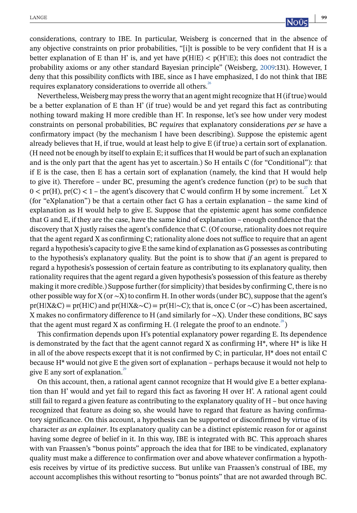considerations, contrary to IBE. In particular, Weisberg is concerned that in the absence of any objective constraints on prior probabilities, "[i]t is possible to be very confident that H is a better explanation of E than H' is, and yet have  $p(H|E) < p(H'|E)$ ; this does not contradict the probability axioms or any other standard Bayesian principle" (Weisberg, [2009:](#page-25-0)131). However, I deny that this possibility conflicts with IBE, since as I have emphasized, I do not think that IBE requires explanatory considerations to override all others[.](#page-22-0)

Nevertheless,Weisberg may press the worry that an agent might recognize that H (if true) would be a better explanation of E than H' (if true) would be and yet regard this fact as contributing nothing toward making H more credible than H'. In response, let's see how under very modest constraints on personal probabilities, BC *requires* that explanatory considerations *per se* have a confirmatory impact (by the mechanism I have been describing). Suppose the epistemic agent already believes that H, if true, would at least help to give E (if true) a certain sort of explanation. (H need not be enough by itself to explain E; it suffices that H would be part of such an explanation and is the only part that the agent has yet to ascertain.) So H entails C (for "Conditional"): that if E is the case, then E has a certain sort of explanation (namely, the kind that H would help to give it). Therefore – under BC, presuming the agent's credence function (pr) to be such that  $0 < pr(H)$ ,  $pr(C) < 1$  – the agent's discovery that C would confirm H by some increment[.](#page-22-0)<sup>27</sup> Let X (for "eXplanation") be that a certain other fact G has a certain explanation – the same kind of explanation as H would help to give E. Suppose that the epistemic agent has some confidence that G and E, if they are the case, have the same kind of explanation – enough confidence that the discovery that X justly raises the agent's confidence that C. (Of course, rationality does not require that the agent regard X as confirming C; rationality alone does not suffice to require that an agent regard a hypothesis's capacity to give E the same kind of explanation as G possesses as contributing to the hypothesis's explanatory quality. But the point is to show that *if* an agent is prepared to regard a hypothesis's possession of certain feature as contributing to its explanatory quality, then rationality requires that the agent regard a given hypothesis's possession of this feature as thereby making it more credible.) Suppose further (for simplicity) that besides by confirming C, there is no other possible way for X (or ∼X) to confirm H. In other words (under BC), suppose that the agent's  $pr(H|X&C) = pr(H|C)$  and  $pr(H|X&\sim C) = pr(H|\sim C)$ ; that is, once C (or  $\sim C$ ) has been ascertained, X makes no confirmatory difference to H (and similarly for ∼X). Under these conditions, BC says that the agent must regard X as confirming H[.](#page-22-0) (I relegate the proof to an endnote.<sup>28</sup>)

This confirmation depends upon H's potential explanatory power regarding E. Its dependence is demonstrated by the fact that the agent cannot regard X as confirming  $H^*$ , where  $H^*$  is like H in all of the above respects except that it is not confirmed by C; in particular, H\* does not entail C because H\* would not give E the given sort of explanation – perhaps because it would not help to give E any sort of explanation[.](#page-22-0) $\dot{2}$ 

On this account, then, a rational agent cannot recognize that H would give E a better explanation than H' would and yet fail to regard this fact as favoring H over H'. A rational agent could still fail to regard a given feature as contributing to the explanatory quality of H – but once having recognized that feature as doing so, she would have to regard that feature as having confirmatory significance. On this account, a hypothesis can be supported or disconfirmed by virtue of its character *as an explainer*. Its explanatory quality can be a distinct epistemic reason for or against having some degree of belief in it. In this way, IBE is integrated with BC. This approach shares with van Fraassen's "bonus points" approach the idea that for IBE to be vindicated, explanatory quality must make a difference to confirmation over and above whatever confirmation a hypothesis receives by virtue of its predictive success. But unlike van Fraassen's construal of IBE, my account accomplishes this without resorting to "bonus points" that are not awarded through BC.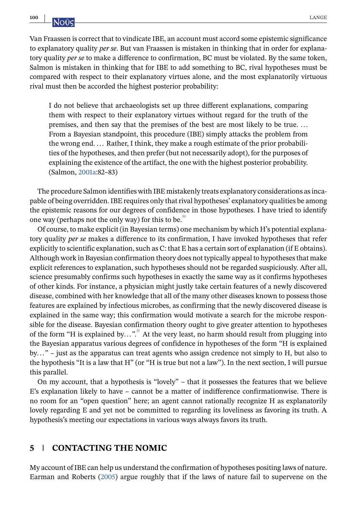<span id="page-16-0"></span>Van Fraassen is correct that to vindicate IBE, an account must accord some epistemic significance to explanatory quality *per se*. But van Fraassen is mistaken in thinking that in order for explanatory quality *per se* to make a difference to confirmation, BC must be violated. By the same token, Salmon is mistaken in thinking that for IBE to add something to BC, rival hypotheses must be compared with respect to their explanatory virtues alone, and the most explanatorily virtuous rival must then be accorded the highest posterior probability:

I do not believe that archaeologists set up three different explanations, comparing them with respect to their explanatory virtues without regard for the truth of the premises, and then say that the premises of the best are most likely to be true. ... From a Bayesian standpoint, this procedure (IBE) simply attacks the problem from the wrong end. ... Rather, I think, they make a rough estimate of the prior probabilities of the hypotheses, and then prefer (but not necessarily adopt), for the purposes of explaining the existence of the artifact, the one with the highest posterior probability. (Salmon, [2001a:](#page-25-0)82–83)

The procedure Salmon identifies with IBE mistakenly treats explanatory considerations as incapable of being overridden. IBE requires only that rival hypotheses' explanatory qualities be among the epistemic reasons for our degrees of confidence in those hypotheses. I have tried to identify one way (perhaps not the only way) for this to be[.](#page-22-0)<sup>3</sup>

Of course, to make explicit (in Bayesian terms) one mechanism by which H's potential explanatory quality *per se* makes a difference to its confirmation, I have invoked hypotheses that refer explicitly to scientific explanation, such as C: that E has a certain sort of explanation (if E obtains). Although work in Bayesian confirmation theory does not typically appeal to hypotheses that make explicit references to explanation, such hypotheses should not be regarded suspiciously. After all, science presumably confirms such hypotheses in exactly the same way as it confirms hypotheses of other kinds. For instance, a physician might justly take certain features of a newly discovered disease, combined with her knowledge that all of the many other diseases known to possess those features are explained by infectious microbes, as confirming that the newly discovered disease is explained in the same way; this confirmation would motivate a search for the microbe responsible for the disease. Bayesian confirmation theory ought to give greater attention to hypotheses of the form "H is explained by[.](#page-23-0)..".<sup>31</sup> At the very least, no harm should result from plugging into the Bayesian apparatus various degrees of confidence in hypotheses of the form "H is explained by... " – just as the apparatus can treat agents who assign credence not simply to H, but also to the hypothesis "It is a law that H" (or "H is true but not a law"). In the next section, I will pursue this parallel.

On my account, that a hypothesis is "lovely" – that it possesses the features that we believe E's explanation likely to have – cannot be a matter of indifference confirmationwise. There is no room for an "open question" here; an agent cannot rationally recognize H as explanatorily lovely regarding E and yet not be committed to regarding its loveliness as favoring its truth. A hypothesis's meeting our expectations in various ways always favors its truth.

# **5 CONTACTING THE NOMIC**

My account of IBE can help us understand the confirmation of hypotheses positing laws of nature. Earman and Roberts [\(2005\)](#page-24-0) argue roughly that if the laws of nature fail to supervene on the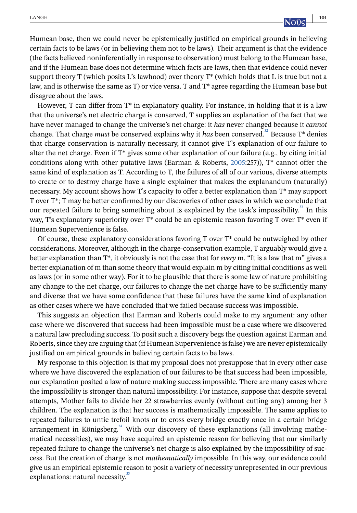Humean base, then we could never be epistemically justified on empirical grounds in believing certain facts to be laws (or in believing them not to be laws). Their argument is that the evidence (the facts believed noninferentially in response to observation) must belong to the Humean base,

and if the Humean base does not determine which facts are laws, then that evidence could never support theory T (which posits L's lawhood) over theory T\* (which holds that L is true but not a law, and is otherwise the same as T) or vice versa. T and T\* agree regarding the Humean base but disagree about the laws.

However, T can differ from T\* in explanatory quality. For instance, in holding that it is a law that the universe's net electric charge is conserved, T supplies an explanation of the fact that we have never managed to change the universe's net charge: it *has* never changed because it *cannot* change[.](#page-23-0) That charge *must* be conserved explains why it *has* been conserved.<sup>32</sup> Because T\* denies that charge conservation is naturally necessary, it cannot give T's explanation of our failure to alter the net charge. Even if T\* gives some other explanation of our failure (e.g., by citing initial conditions along with other putative laws (Earman & Roberts, [2005:](#page-24-0)257)),  $T^*$  cannot offer the same kind of explanation as T. According to T, the failures of all of our various, diverse attempts to create or to destroy charge have a single explainer that makes the explanandum (naturally) necessary. My account shows how T's capacity to offer a better explanation than T\* may support T over T\*; T may be better confirmed by our discoveries of other cases in which we conclude that our repeated failure to bring something about is explained by the task's impossibility[.](#page-23-0)<sup>33</sup> In this way, T's explanatory superiority over T\* could be an epistemic reason favoring T over T\* even if Humean Supervenience is false.

Of course, these explanatory considerations favoring  $T$  over  $T^*$  could be outweighed by other considerations. Moreover, although in the charge-conservation example, T arguably would give a better explanation than T\*, it obviously is not the case that for *every* m, "It is a law that m" gives a better explanation of m than some theory that would explain m by citing initial conditions as well as laws (or in some other way). For it to be plausible that there is some law of nature prohibiting any change to the net charge, our failures to change the net charge have to be sufficiently many and diverse that we have some confidence that these failures have the same kind of explanation as other cases where we have concluded that we failed because success was impossible.

This suggests an objection that Earman and Roberts could make to my argument: any other case where we discovered that success had been impossible must be a case where we discovered a natural law precluding success. To posit such a discovery begs the question against Earman and Roberts, since they are arguing that (if Humean Supervenience is false) we are never epistemically justified on empirical grounds in believing certain facts to be laws.

My response to this objection is that my proposal does not presuppose that in every other case where we have discovered the explanation of our failures to be that success had been impossible, our explanation posited a law of nature making success impossible. There are many cases where the impossibility is stronger than natural impossibility. For instance, suppose that despite several attempts, Mother fails to divide her 22 strawberries evenly (without cutting any) among her 3 children. The explanation is that her success is mathematically impossible. The same applies to repeated failures to untie trefoil knots or to cross every bridge exactly once in a certain bridge arrangement in Königsberg[.](#page-23-0)<sup>34</sup> With our discovery of these explanations (all involving mathematical necessities), we may have acquired an epistemic reason for believing that our similarly repeated failure to change the universe's net charge is also explained by the impossibility of success. But the creation of charge is not *mathematically* impossible. In this way, our evidence could give us an empirical epistemic reason to posit a variety of necessity unrepresented in our previous explanations: natural necessity[.](#page-23-0)<sup>35</sup>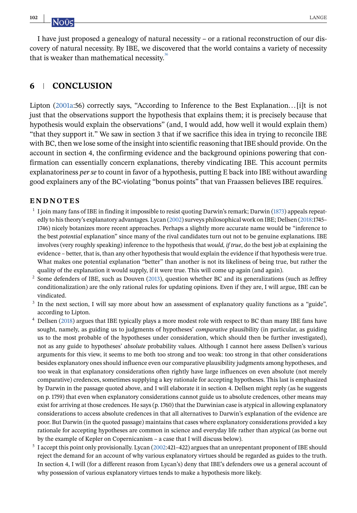<span id="page-18-0"></span>I have just proposed a genealogy of natural necessity – or a rational reconstruction of our discovery of natural necessity. By IBE, we discovered that the world contains a variety of necessity that is weaker than mathematical necessity[.](#page-24-0)<sup>36</sup>

# **6 CONCLUSION**

Lipton [\(2001a:](#page-25-0)56) correctly says, "According to Inference to the Best Explanation... [i]t is not just that the observations support the hypothesis that explains them; it is precisely because that hypothesis would explain the observations" (and, I would add, how well it would explain them) "that they support it." We saw in section 3 that if we sacrifice this idea in trying to reconcile IBE with BC, then we lose some of the insight into scientific reasoning that IBE should provide. On the account in section 4, the confirming evidence and the background opinions powering that confirmation can essentially concern explanations, thereby vindicating IBE. This account permits explanatoriness *per se* to count in favor of a hypothesis, putting E back into IBE without awarding good explainers any of the BC-violating "bonus points" that van Fraassen believes IBE requires[.](#page-24-0)

## **ENDNOTES**

- <sup>1</sup> I join many fans of IBE in finding it impossible to resist quoting Darwin's remark; Darwin [\(1873\)](#page-24-0) appeals repeatedly to his theory's explanatory advantages. Lycan [\(2002\)](#page-25-0) surveys philosophical work on IBE; Dellsen [\(2018:](#page-24-0)1745– 1746) nicely botanizes more recent approaches. Perhaps a slightly more accurate name would be "inference to the best *potential* explanation" since many of the rival candidates turn out not to be genuine explanations. IBE involves (very roughly speaking) inference to the hypothesis that *would, if true*, do the best job at explaining the evidence – better, that is, than any other hypothesis that would explain the evidence if that hypothesis were true. What makes one potential explanation "better" than another is not its likeliness of being true, but rather the quality of the explanation it would supply, if it were true. This will come up again (and again).
- $^2$  Some defenders of IBE, such as Douven [\(2013\)](#page-24-0), question whether BC and its generalizations (such as Jeffrey conditionalization) are the only rational rules for updating opinions. Even if they are, I will argue, IBE can be vindicated.
- <sup>3</sup> In the next section, I will say more about how an assessment of explanatory quality functions as a "guide", according to Lipton.
- <sup>4</sup> Dellsen [\(2018\)](#page-24-0) argues that IBE typically plays a more modest role with respect to BC than many IBE fans have sought, namely, as guiding us to judgments of hypotheses' *comparative* plausibility (in particular, as guiding us to the most probable of the hypotheses under consideration, which should then be further investigated), not as any guide to hypotheses' *absolute* probability values. Although I cannot here assess Dellsen's various arguments for this view, it seems to me both too strong and too weak: too strong in that other considerations besides explanatory ones should influence even our comparative plausibility judgments among hypotheses, and too weak in that explanatory considerations often rightly have large influences on even absolute (not merely comparative) credences, sometimes supplying a key rationale for accepting hypotheses. This last is emphasized by Darwin in the passage quoted above, and I will elaborate it in section 4. Dellsen might reply (as he suggests on p. 1759) that even when explanatory considerations cannot guide us to absolute credences, other means may exist for arriving at those credences. He says (p. 1760) that the Darwinian case is atypical in allowing explanatory considerations to access absolute credences in that all alternatives to Darwin's explanation of the evidence are poor. But Darwin (in the quoted passage) maintains that cases where explanatory considerations provided a key rationale for accepting hypotheses are common in science and everyday life rather than atypical (as borne out by the example of Kepler on Copernicanism – a case that I will discuss below).
- <sup>5</sup> I accept this point only provisionally. Lycan [\(2002:](#page-25-0)421–422) argues that an unrepentant proponent of IBE should reject the demand for an account of why various explanatory virtues should be regarded as guides to the truth. In section 4, I will (for a different reason from Lycan's) deny that IBE's defenders owe us a general account of why possession of various explanatory virtues tends to make a hypothesis more likely.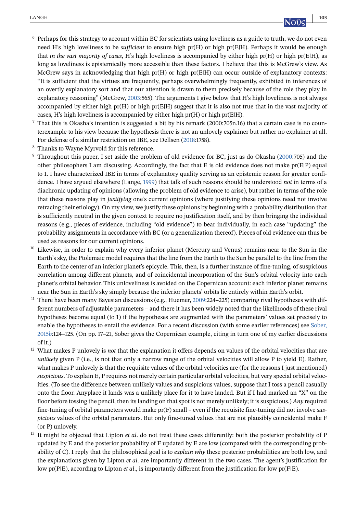- <span id="page-19-0"></span> $6$  Perhaps for this strategy to account within BC for scientists using loveliness as a guide to truth, we do not even need H's high loveliness to be *sufficient* to ensure high pr(H) or high pr(E|H). Perhaps it would be enough that *in the vast majority of cases*, H's high loveliness is accompanied by either high pr(H) or high pr(E|H), as long as loveliness is epistemically more accessible than these factors. I believe that this is McGrew's view. As McGrew says in acknowledging that high pr(H) or high pr(E|H) can occur outside of explanatory contexts: "It is sufficient that the virtues are frequently, perhaps overwhelmingly frequently, exhibited in inferences of an overtly explanatory sort and that our attention is drawn to them precisely because of the role they play in explanatory reasoning" (McGrew, [2003:](#page-25-0)565). The arguments I give below that H's high loveliness is not always accompanied by either high pr(H) or high pr(E|H) suggest that it is also not true that in the vast majority of cases, H's high loveliness is accompanied by either high  $pr(H)$  or high  $pr(E|H)$ .
- <sup>7</sup> That this is Okasha's intention is suggested a bit by his remark (2000:705n.16) that a certain case is no counterexample to his view because the hypothesis there is not an unlovely explainer but rather no explainer at all. For defense of a similar restriction on IBE, see Dellsen [\(2018:](#page-24-0)1758).
- <sup>8</sup> Thanks to Wayne Myrvold for this reference.
- <sup>9</sup> Throughout this paper, I set aside the problem of old evidence for BC, just as do Okasha [\(2000:](#page-25-0)705) and the other philosophers I am discussing. Accordingly, the fact that E is old evidence does not make pr(E|P) equal to 1. I have characterized IBE in terms of explanatory quality serving as an epistemic reason for greater confidence. I have argued elsewhere (Lange, [1999\)](#page-24-0) that talk of such reasons should be understood *not* in terms of a diachronic updating of opinions (allowing the problem of old evidence to arise), but rather in terms of the role that these reasons play in *justifying* one's current opinions (where justifying these opinions need not involve retracing their etiology). On my view, we justify these opinions by beginning with a probability distribution that is sufficiently neutral in the given context to require no justification itself, and by then bringing the individual reasons (e.g., pieces of evidence, including "old evidence") to bear individually, in each case "updating" the probability assignments in accordance with BC (or a generalization thereof). Pieces of old evidence can thus be used as reasons for our current opinions.
- <sup>10</sup> Likewise, in order to explain why every inferior planet (Mercury and Venus) remains near to the Sun in the Earth's sky, the Ptolemaic model requires that the line from the Earth to the Sun be parallel to the line from the Earth to the center of an inferior planet's epicycle. This, then, is a further instance of fine-tuning, of suspicious correlation among different planets, and of coincidental incorporation of the Sun's orbital velocity into each planet's orbital behavior. This unloveliness is avoided on the Copernican account: each inferior planet remains near the Sun in Earth's sky simply because the inferior planets' orbits lie entirely within Earth's orbit.
- $11$  There have been many Bayesian discussions (e.g., Huemer, [2009:](#page-24-0)224-225) comparing rival hypotheses with different numbers of adjustable parameters – and there it has been widely noted that the likelihoods of these rival hypotheses become equal (to 1) if the hypotheses are augmented with the parameters' values set precisely to enable the hypotheses to entail the evidence. For a recent discussion (with some earlier references) see [Sober,](#page-25-0) [2015](#page-25-0)*b*:124–125. (On pp. 17–21, Sober gives the Copernican example, citing in turn one of my earlier discussions of it.)
- <sup>12</sup> What makes P unlovely is *not* that the explanation it offers depends on values of the orbital velocities that are *unlikely* given P (i.e., is not that only a narrow range of the orbital velocities will allow P to yield E). Rather, what makes P unlovely is that the requisite values of the orbital velocities are (for the reasons I just mentioned) *suspicious*. To explain E, P requires not merely certain particular orbital velocities, but very special orbital velocities. (To see the difference between unlikely values and suspicious values, suppose that I toss a pencil casually onto the floor. Anyplace it lands was a unlikely place for it to have landed. But if I had marked an "X" on the floor before tossing the pencil, then its landing on that spot is not merely unlikely; it is suspicious.) *Any* required fine-tuning of orbital parameters would make pr(F) small – even if the requisite fine-tuning did not involve *suspicious* values of the orbital parameters. But only fine-tuned values that are not plausibly coincidental make F (or P) unlovely.
- <sup>13</sup> It might be objected that Lipton *et al.* do not treat these cases differently: both the posterior probability of P updated by E and the posterior probability of F updated by E are low (compared with the corresponding probability of C). I reply that the philosophical goal is to *explain why* these posterior probabilities are both low, and the explanations given by Lipton *et al*. are importantly different in the two cases. The agent's justification for low pr(P|E), according to Lipton *et al*., is importantly different from the justification for low pr(F|E).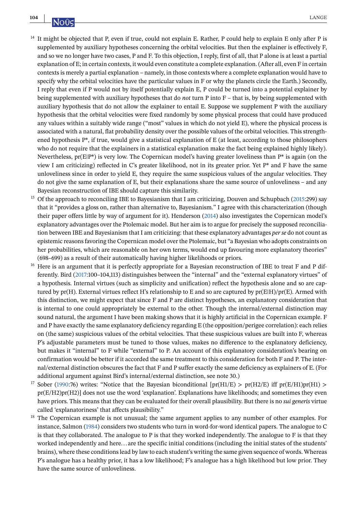- <span id="page-20-0"></span><sup>14</sup> It might be objected that P, even if true, could not explain E. Rather, P could help to explain E only after P is supplemented by auxiliary hypotheses concerning the orbital velocities. But then the explainer is effectively F, and so we no longer have two cases, P and F. To this objection, I reply, first of all, that P alone is at least a partial explanation of E; in certain contexts, it would even constitute a complete explanation. (After all, even F in certain contexts is merely a partial explanation – namely, in those contexts where a complete explanation would have to specify why the orbital velocities have the particular values in F or why the planets circle the Earth.) Secondly, I reply that even if P would not by itself potentially explain E, P could be turned into a potential explainer by being supplemented with auxiliary hypotheses that do *not* turn P into F – that is, by being supplemented with auxiliary hypothesis that do not allow the explainer to entail E. Suppose we supplement P with the auxiliary hypothesis that the orbital velocities were fixed randomly by some physical process that could have produced any values within a suitably wide range ("most" values in which do not yield E), where the physical process is associated with a natural, flat probability density over the possible values of the orbital velocities. This strengthened hypothesis P\*, if true, would give a statistical explanation of E (at least, according to those philosophers who do not require that the explainers in a statistical explanation make the fact being explained highly likely). Nevertheless, pr(E|P\*) is very low. The Copernican model's having greater loveliness than P\* is again (on the view I am criticizing) reflected in C's greater likelihood, not in its greater prior. Yet P\* and F have the same unloveliness since in order to yield E, they require the same suspicious values of the angular velocities. They do not give the same explanation of E, but their explanations share the same source of unloveliness – and any Bayesian reconstruction of IBE should capture this similarity.
- <sup>15</sup> Of the approach to reconciling IBE to Bayesianism that I am criticizing, Douven and Schupbach [\(2015:](#page-24-0)299) say that it "provides a gloss on, rather than alternative to, Bayesianism." I agree with this characterization (though their paper offers little by way of argument for it). Henderson [\(2014\)](#page-24-0) also investigates the Copernican model's explanatory advantages over the Ptolemaic model. But her aim is to argue for precisely the supposed reconciliation between IBE and Bayesianism that I am criticizing: that these explanatory advantages *per se* do not count as epistemic reasons favoring the Copernican model over the Ptolemaic, but "a Bayesian who adopts constraints on her probabilities, which are reasonable on her own terms, would end up favouring more explanatory theories" (698–699) as a result of their automatically having higher likelihoods or priors.
- <sup>16</sup> Here is an argument that it is perfectly appropriate for a Bayesian reconstruction of IBE to treat F and P differently. Bird [\(2017:](#page-24-0)100–104,113) distinguishes between the "internal" and the "external explanatory virtues" of a hypothesis. Internal virtues (such as simplicity and unification) reflect the hypothesis alone and so are captured by pr(H). External virtues reflect H's relationship to E and so are captured by pr(E|H)/pr(E). Armed with this distinction, we might expect that since F and P are distinct hypotheses, an explanatory consideration that is internal to one could appropriately be external to the other. Though the internal/external distinction may sound natural, the argument I have been making shows that it is highly artificial in the Copernican example. F and P have exactly the same explanatory deficiency regarding E (the opposition/perigee correlation): each relies on (the same) suspicious values of the orbital velocities. That these suspicious values are built into F, whereas P's adjustable parameters must be tuned to those values, makes no difference to the explanatory deficiency, but makes it "internal" to F while "external" to P. An account of this explanatory consideration's bearing on confirmation would be better if it accorded the same treatment to this consideration for both F and P. The internal/external distinction obscures the fact that F and P suffer exactly the same deficiency as explainers of E. (For additional argument against Bird's internal/external distinction, see note 30.)
- <sup>17</sup> Sober [\(1990:](#page-25-0)76) writes: "Notice that the Bayesian biconditional  $[pr(H1/E) > pr(H2/E)$  iff  $pr(E/H1)pr(H1) >$  $pr(E/H2)pr(H2)$  does not use the word 'explanation'. Explanations have likelihoods; and sometimes they even have priors. This means that they can be evaluated for their overall plausibility. But there is no *sui generis* virtue called 'explanatoriness' that affects plausibility."
- <sup>18</sup> The Copernican example is not unusual; the same argument applies to any number of other examples. For instance, Salmon [\(1984\)](#page-25-0) considers two students who turn in word-for-word identical papers. The analogue to C is that they collaborated. The analogue to P is that they worked independently. The analogue to F is that they worked independently and here...are the specific initial conditions (including the initial states of the students' brains), where these conditions lead by law to each student's writing the same given sequence of words. Whereas P's analogue has a healthy prior, it has a low likelihood; F's analogue has a high likelihood but low prior. They have the same source of unloveliness.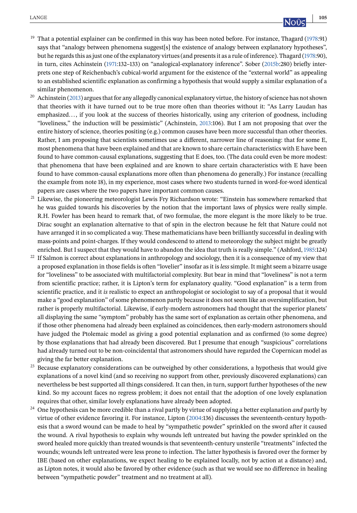- <span id="page-21-0"></span> $19$  That a potential explainer can be confirmed in this way has been noted before. For instance, Thagard [\(1978:](#page-25-0)91) says that "analogy between phenomena suggest[s] the existence of analogy between explanatory hypotheses", but he regards this as just one of the explanatory virtues (and presents it as a rule of inference). Thagard [\(1978:](#page-25-0)90), in turn, cites Achinstein [\(1971:](#page-24-0)132–133) on "analogical-explanatory inference". Sober [\(2015b:](#page-25-0)280) briefly interprets one step of Reichenbach's cubical-world argument for the existence of the "external world" as appealing to an established scientific explanation as confirming a hypothesis that would supply a similar explanation of a similar phenomenon.
- $^{20}$  Achinstein [\(2013\)](#page-24-0) argues that for any allegedly canonical explanatory virtue, the history of science has not shown that theories with it have turned out to be true more often than theories without it: "As Larry Laudan has emphasized..., if you look at the success of theories historically, using any criterion of goodness, including "loveliness," the induction will be pessimistic" (Achinstein, [2013:](#page-24-0)106). But I am not proposing that over the entire history of science, theories positing (e.g.) common causes have been more successful than other theories. Rather, I am proposing that scientists sometimes use a different, narrower line of reasoning: that for some E, most phenomena that have been explained and that are known to share certain characteristics with E have been found to have common-causal explanations, suggesting that E does, too. (The data could even be more modest: that phenomena that have been explained and are known to share certain characteristics with E have been found to have common-causal explanations more often than phenomena do generally.) For instance (recalling the example from note 18), in my experience, most cases where two students turned in word-for-word identical papers are cases where the two papers have important common causes.
- <sup>21</sup> Likewise, the pioneering meteorologist Lewis Fry Richardson wrote: "Einstein has somewhere remarked that he was guided towards his discoveries by the notion that the important laws of physics were really simple. R.H. Fowler has been heard to remark that, of two formulae, the more elegant is the more likely to be true. Dirac sought an explanation alternative to that of spin in the electron because he felt that Nature could not have arranged it in so complicated a way. These mathematicians have been brilliantly successful in dealing with mass-points and point-charges. If they would condescend to attend to meteorology the subject might be greatly enriched. But I suspect that they would have to abandon the idea that truth is really simple." (Ashford, [1985:](#page-24-0)124)
- <sup>22</sup> If Salmon is correct about explanations in anthropology and sociology, then it is a consequence of my view that a proposed explanation in those fields is often "lovelier" insofar as it is *less* simple. It might seem a bizarre usage for "loveliness" to be associated with multifactorial complexity. But bear in mind that "loveliness" is not a term from scientific practice; rather, it is Lipton's term for explanatory quality. "Good explanation" is a term from scientific practice, and it *is* realistic to expect an anthropologist or sociologist to say of a proposal that it would make a "good explanation" of some phenomenon partly because it does not seem like an oversimplification, but rather is properly multifactorial. Likewise, if early-modern astronomers had thought that the superior planets' all displaying the same "symptom" probably has the same sort of explanation as certain other phenomena, and if those other phenomena had already been explained as coincidences, then early-modern astronomers should have judged the Ptolemaic model as giving a good potential explanation and as confirmed (to some degree) by those explanations that had already been discovered. But I presume that enough "suspicious" correlations had already turned out to be non-coincidental that astronomers should have regarded the Copernican model as giving the far better explanation.
- <sup>23</sup> Because explanatory considerations can be outweighed by other considerations, a hypothesis that would give explanations of a novel kind (and so receiving no support from other, previously discovered explanations) can nevertheless be best supported all things considered. It can then, in turn, support further hypotheses of the new kind. So my account faces no regress problem; it does not entail that the adoption of one lovely explanation requires that other, similar lovely explanations have already been adopted.
- <sup>24</sup> One hypothesis can be more credible than a rival partly by virtue of supplying a better explanation *and* partly by virtue of other evidence favoring it. For instance, Lipton [\(2004:](#page-25-0)136) discusses the seventeenth-century hypothesis that a sword wound can be made to heal by "sympathetic powder" sprinkled on the sword after it caused the wound. A rival hypothesis to explain why wounds left untreated but having the powder sprinkled on the sword healed more quickly than treated wounds is that seventeenth-century unsterile "treatments" infected the wounds; wounds left untreated were less prone to infection. The latter hypothesis is favored over the former by IBE (based on other explanations, we expect healing to be explained locally, not by action at a distance) and, as Lipton notes, it would also be favored by other evidence (such as that we would see no difference in healing between "sympathetic powder" treatment and no treatment at all).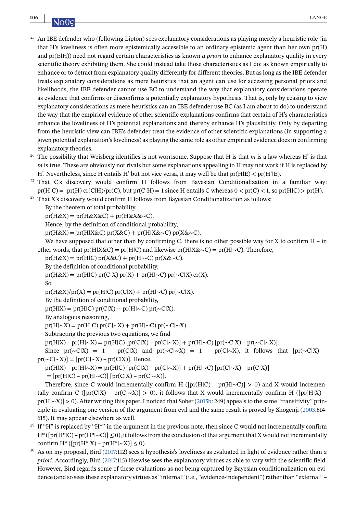- <span id="page-22-0"></span> $25$  An IBE defender who (following Lipton) sees explanatory considerations as playing merely a heuristic role (in that H's loveliness is often more epistemically accessible to an ordinary epistemic agent than her own pr(H) and pr(E|H)) need not regard certain characteristics as known *a priori* to enhance explanatory quality in every scientific theory exhibiting them. She could instead take those characteristics as I do: as known empirically to enhance or to detract from explanatory quality differently for different theories. But as long as the IBE defender treats explanatory considerations as mere heuristics that an agent can use for accessing personal priors and likelihoods, the IBE defender cannot use BC to understand the way that explanatory considerations operate as evidence that confirms or disconfirms a potentially explanatory hypothesis. That is, only by ceasing to view explanatory considerations as mere heuristics can an IBE defender use BC (as I am about to do) to understand the way that the empirical evidence of other scientific explanations confirms that certain of H's characteristics enhance the loveliness of H's potential explanations and thereby enhance H's plausibility. Only by departing from the heuristic view can IBE's defender treat the evidence of other scientific explanations (in supporting a given potential explanation's loveliness) as playing the same role as other empirical evidence does in confirming explanatory theories.
- <sup>26</sup> The possibility that Weisberg identifies is not worrisome. Suppose that H is that *m* is a law whereas H' is that *m* is true. These are obviously not rivals but some explanations appealing to H may not work if H is replaced by H'. Nevertheless, since H entails H' but not vice versa, it may well be that  $pr(H|E) < pr(H'|E)$ .
- $27$  That C's discovery would confirm H follows from Bayesian Conditionalization in a familiar way:  $pr(H|C) = pr(H) cr(C|H)/pr(C)$ , but  $pr(C|H) = 1$  since H entails C whereas  $0 < pr(C) < 1$ , so  $pr(H|C) > pr(H)$ .

```
28 That X's discovery would confirm H follows from Bayesian Conditionalization as follows:
```
By the theorem of total probability,

 $pr(H\&X) = pr(H\&X\&C) + pr(H\&X\&~C).$ 

Hence, by the definition of conditional probability,

 $pr(H\&X) = pr(H|X\&C) pr(X\&C) + pr(H|X\&~\sim C) pr(X\&~\sim C).$ 

We have supposed that other than by confirming C, there is no other possible way for X to confirm  $H - in$ other words, that pr(H|X&C) = pr(H|C) and likewise pr(H|X&∼C) = pr(H|∼C). Therefore,

 $pr(H\&X) = pr(H|C) pr(X\&C) + pr(H|\sim C) pr(X\&\sim C).$ 

By the definition of conditional probability,

 $pr(H&X) = pr(H|C) pr(C|X) pr(X) + pr(H|\sim C) pr(\sim C|X) cr(X).$ 

```
So
```

```
pr(H\&X)/pr(X) = pr(H|C) pr(C|X) + pr(H|\sim C) pr(\sim C|X).
```

```
By the definition of conditional probability,
```
 $pr(H|X) = pr(H|C) pr(C|X) + pr(H|\sim C) pr(\sim C|X).$ 

By analogous reasoning,

```
pr(H|\sim X) = pr(H|C) pr(C|\sim X) + pr(H|\sim C) pr(\sim C|\sim X).
```

```
Subtracting the previous two equations, we find
```
 $pr(H|X) - pr(H|\sim X) = pr(H|C) [pr(C|X) - pr(C|\sim X)] + pr(H|\sim C) [pr(\sim C|X) - pr(\sim C|\sim X)].$ 

Since pr(∼C|X) = 1 – pr(C|X) and pr(∼C|∼X) = 1 – pr(C|∼X), it follows that  $[pr(\sim C|X)$  –  $pr(\sim C|\sim X)$ ] = [pr(C|∼X) – pr(C|X)]. Hence,

 $pr(H|X) - pr(H|\sim X) = pr(H|C) [pr(C|X) - pr(C|\sim X)] + pr(H|\sim C) [pr(C|\sim X) - pr(C|X)]$  $= [\text{pr(H|C) - pr(H|∼C)] } [\text{pr(C|X) - pr(C|∼X)].$ 

Therefore, since C would incrementally confirm H ( $[pr(H|C) - pr(H|\sim C)] > 0$ ) and X would incrementally confirm C ( $[pr(C|X) - pr(C|\sim X)] > 0$ ), it follows that X would incrementally confirm H ( $[pr(H|X) - pr(C|\sim X)] > 0$ ), it follows that X would incrementally confirm H ( $[pr(H|X) - pr(C|\sim X)] > 0$ ). pr(H|∼X)] > 0). After writing this paper, I noticed that Sober [\(2015b:](#page-25-0) 249) appeals to the same "transitivity" principle in evaluating one version of the argument from evil and the same result is proved by Shogenji [\(2003:](#page-25-0)614- 615). It may appear elsewhere as well.

- <sup>29</sup> If "H" is replaced by "H\*" in the argument in the previous note, then since C would not incrementally confirm H\* ([pr(H\*|C) – pr(H\*|∼C)] ≤ 0), it follows from the conclusion of that argument that X would not incrementally confirm H\* ([pr(H\*|X) – pr(H\*|∼X)] ≤ 0).
- <sup>30</sup> As on my proposal, Bird [\(2017:](#page-24-0)112) sees a hypothesis's loveliness as evaluated in light of evidence rather than *a priori*. Accordingly, Bird [\(2017:](#page-24-0)115) likewise sees the explanatory virtues as able to vary with the scientific field. However, Bird regards some of these evaluations as not being captured by Bayesian conditionalization on evidence (and so sees these explanatory virtues as "internal" (i.e., "evidence-independent") rather than "external" –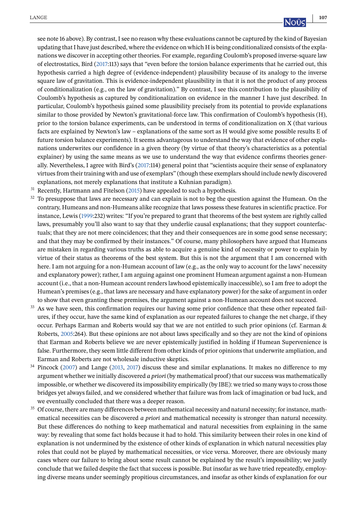<span id="page-23-0"></span>see note 16 above). By contrast, I see no reason why these evaluations cannot be captured by the kind of Bayesian updating that I have just described, where the evidence on which H is being conditionalized consists of the explanations we discover in accepting other theories. For example, regarding Coulomb's proposed inverse-square law of electrostatics, Bird [\(2017:](#page-24-0)113) says that "even before the torsion balance experiments that he carried out, this hypothesis carried a high degree of (evidence-independent) plausibility because of its analogy to the inverse square law of gravitation. This is evidence-independent plausibility in that it is not the product of any process of conditionalization (e.g., on the law of gravitation)." By contrast, I see this contribution to the plausibility of Coulomb's hypothesis as captured by conditionalization on evidence in the manner I have just described. In particular, Coulomb's hypothesis gained some plausibility precisely from its potential to provide explanations similar to those provided by Newton's gravitational-force law. This confirmation of Coulomb's hypothesis (H), prior to the torsion balance experiments, can be understood in terms of conditionalization on X (that various facts are explained by Newton's law – explanations of the same sort as H would give some possible results E of future torsion balance experiments). It seems advantageous to understand the way that evidence of other explanations underwrites our confidence in a given theory (by virtue of that theory's characteristics as a potential explainer) by using the same means as we use to understand the way that evidence confirms theories generally. Nevertheless, I agree with Bird's [\(2017:](#page-24-0)114) general point that "scientists acquire their sense of explanatory virtues from their training with and use of exemplars" (though these exemplars should include newly discovered explanations, not merely explanations that institute a Kuhnian paradigm).

 $31$  Recently, Hartmann and Fitelson [\(2015\)](#page-24-0) have appealed to such a hypothesis.

- <sup>32</sup> To presuppose that laws are necessary and can explain is not to beg the question against the Humean. On the contrary, Humeans and non-Humeans alike recognize that laws possess these features in scientific practice. For instance, Lewis [\(1999:](#page-25-0)232) writes: "If you're prepared to grant that theorems of the best system are rightly called laws, presumably you'll also want to say that they underlie causal explanations; that they support counterfactuals; that they are not mere coincidences; that they and their consequences are in some good sense necessary; and that they may be confirmed by their instances." Of course, many philosophers have argued that Humeans are mistaken in regarding various truths as able to acquire a genuine kind of necessity or power to explain by virtue of their status as theorems of the best system. But this is not the argument that I am concerned with here. I am not arguing for a non-Humean account of law (e.g., as the only way to account for the laws' necessity and explanatory power); rather, I am arguing against one prominent Humean argument against a non-Humean account (i.e., that a non-Humean account renders lawhood epistemically inaccessible), so I am free to adopt the Humean's premises (e.g., that laws are necessary and have explanatory power) for the sake of argument in order to show that even granting these premises, the argument against a non-Humean account does not succeed.
- <sup>33</sup> As we have seen, this confirmation requires our having some prior confidence that these other repeated failures, if they occur, have the same kind of explanation as our repeated failures to change the net charge, if they occur. Perhaps Earman and Roberts would say that we are not entitled to such prior opinions (cf. Earman & Roberts, [2005:](#page-24-0)264). But these opinions are not about laws specifically and so they are not the kind of opinions that Earman and Roberts believe we are never epistemically justified in holding if Humean Supervenience is false. Furthermore, they seem little different from other kinds of prior opinions that underwrite ampliation, and Earman and Roberts are not wholesale inductive skeptics.
- <sup>34</sup> Pincock [\(2007\)](#page-25-0) and Lange [\(2013,](#page-25-0) [2017\)](#page-25-0) discuss these and similar explanations. It makes no difference to my argument whether we initially discovered *a priori* (by mathematical proof) that our success was mathematically impossible, or whether we discovered its impossibility empirically (by IBE): we tried so many ways to cross those bridges yet always failed, and we considered whether that failure was from lack of imagination or bad luck, and we eventually concluded that there was a deeper reason.
- <sup>35</sup> Of course, there are many differences between mathematical necessity and natural necessity; for instance, mathematical necessities can be discovered *a priori* and mathematical necessity is stronger than natural necessity. But these differences do nothing to keep mathematical and natural necessities from explaining in the same way: by revealing that some fact holds because it had to hold. This similarity between their roles in one kind of explanation is not undermined by the existence of other kinds of explanation in which natural necessities play roles that could not be played by mathematical necessities, or vice versa. Moreover, there are obviously many cases where our failure to bring about some result cannot be explained by the result's impossibility; we justly conclude that we failed despite the fact that success is possible. But insofar as we have tried repeatedly, employing diverse means under seemingly propitious circumstances, and insofar as other kinds of explanation for our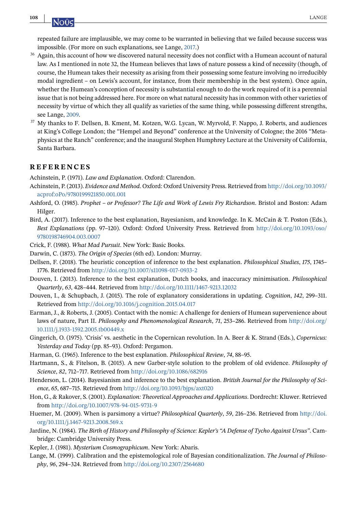<span id="page-24-0"></span>repeated failure are implausible, we may come to be warranted in believing that we failed because success was impossible. (For more on such explanations, see Lange, [2017.](#page-25-0))

- <sup>36</sup> Again, this account of how we discovered natural necessity does not conflict with a Humean account of natural law. As I mentioned in note 32, the Humean believes that laws of nature possess a kind of necessity (though, of course, the Humean takes their necessity as arising from their possessing some feature involving no irreducibly modal ingredient – on Lewis's account, for instance, from their membership in the best system). Once again, whether the Humean's conception of necessity is substantial enough to do the work required of it is a perennial issue that is not being addressed here. For more on what natural necessity has in common with other varieties of necessity by virtue of which they all qualify as varieties of the same thing, while possessing different strengths, see Lange, [2009.](#page-25-0)
- <sup>37</sup> My thanks to F. Dellsen, B. Kment, M. Kotzen, W.G. Lycan, W. Myrvold, F. Nappo, J. Roberts, and audiences at King's College London; the "Hempel and Beyond" conference at the University of Cologne; the 2016 "Metaphysics at the Ranch" conference; and the inaugural Stephen Humphrey Lecture at the University of California, Santa Barbara.

## **REFERENCES**

Achinstein, P. (1971). *Law and Explanation*. Oxford: Clarendon.

- Achinstein, P. (2013). *Evidence and Method*. Oxford: Oxford University Press. Retrieved from [http://doi.org/10.1093/](http://doi.org/10.1093/acprof:oPo/9780199921850.001.001) [acprof:oPo/9780199921850.001.001](http://doi.org/10.1093/acprof:oPo/9780199921850.001.001)
- Ashford, O. (1985). *Prophet or Professor? The Life and Work of Lewis Fry Richardson*. Bristol and Boston: Adam Hilger.
- Bird, A. (2017). Inference to the best explanation, Bayesianism, and knowledge. In K. McCain & T. Poston (Eds.), *Best Explanations* (pp. 97–120). Oxford: Oxford University Press. Retrieved from [http://doi.org/10.1093/oso/](http://doi.org/10.1093/oso/9780198746904.003.0007) [9780198746904.003.0007](http://doi.org/10.1093/oso/9780198746904.003.0007)
- Crick, F. (1988). *What Mad Pursuit*. New York: Basic Books.
- Darwin, C. (1873). *The Origin of Species* (6th ed). London: Murray.
- Dellsen, F. (2018). The heuristic conception of inference to the best explanation. *Philosophical Studies*, *175*, 1745– 1776. Retrieved from <http://doi.org/10.1007/s11098-017-0933-2>
- Douven, I. (2013). Inference to the best explanation, Dutch books, and inaccuracy minimisation. *Philosophical Quarterly*, *63*, 428–444. Retrieved from <http://doi.org/10.1111/1467-9213.12032>
- Douven, I., & Schupbach, J. (2015). The role of explanatory considerations in updating. *Cognition*, *142*, 299–311. Retrieved from <http://doi.org/10.1016/j.cognition.2015.04.017>
- Earman, J., & Roberts, J. (2005). Contact with the nomic: A challenge for deniers of Humean supervenience about laws of nature, Part II. *Philosophy and Phenomenological Research*, *71*, 253–286. Retrieved from [http://doi.org/](http://doi.org/10.1111/j.1933-1592.2005.tb00449.x) [10.1111/j.1933-1592.2005.tb00449.x](http://doi.org/10.1111/j.1933-1592.2005.tb00449.x)
- Gingerich, O. (1975). 'Crisis' vs. aesthetic in the Copernican revolution. In A. Beer & K. Strand (Eds.), *Copernicus: Yesterday and Today* (pp. 85–93). Oxford: Pergamon.
- Harman, G. (1965). Inference to the best explanation. *Philosophical Review*, *74*, 88–95.
- Hartmann, S., & Fitelson, B. (2015). A new Garber-style solution to the problem of old evidence. *Philosophy of Science*, *82*, 712–717. Retrieved from <http://doi.org/10.1086/682916>
- Henderson, L. (2014). Bayesianism and inference to the best explanation. *British Journal for the Philosophy of Science*, *65*, 687–715. Retrieved from <http://doi.org/10.1093/bjps/axt020>
- Hon, G., & Rakover, S. (2001). *Explanation: Theoretical Approaches and Applications*. Dordrecht: Kluwer. Retrieved from <http://doi.org/10.1007/978-94-015-9731-9>
- Huemer, M. (2009). When is parsimony a virtue? *Philosophical Quarterly*, *59*, 216–236. Retrieved from [http://doi.](http://doi.org/10.1111/j.1467-9213.2008.569.x) [org/10.1111/j.1467-9213.2008.569.x](http://doi.org/10.1111/j.1467-9213.2008.569.x)
- Jardine, N. (1984). *The Birth of History and Philosophy of Science: Kepler's "A Defense of Tycho Against Ursus"*. Cambridge: Cambridge University Press.
- Kepler, J. (1981). *Mysterium Cosmographicum*. New York: Abaris.
- Lange, M. (1999). Calibration and the epistemological role of Bayesian conditionalization. *The Journal of Philosophy*, *96*, 294–324. Retrieved from <http://doi.org/10.2307/2564680>